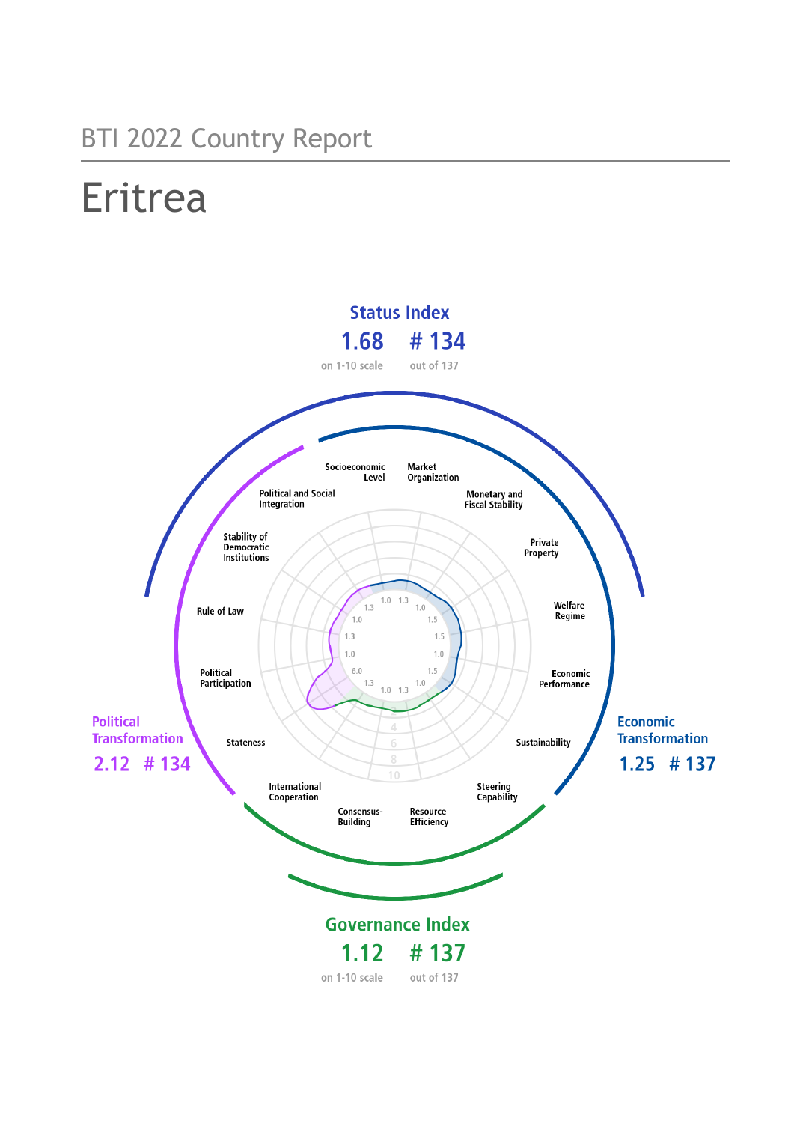## BTI 2022 Country Report

# Eritrea

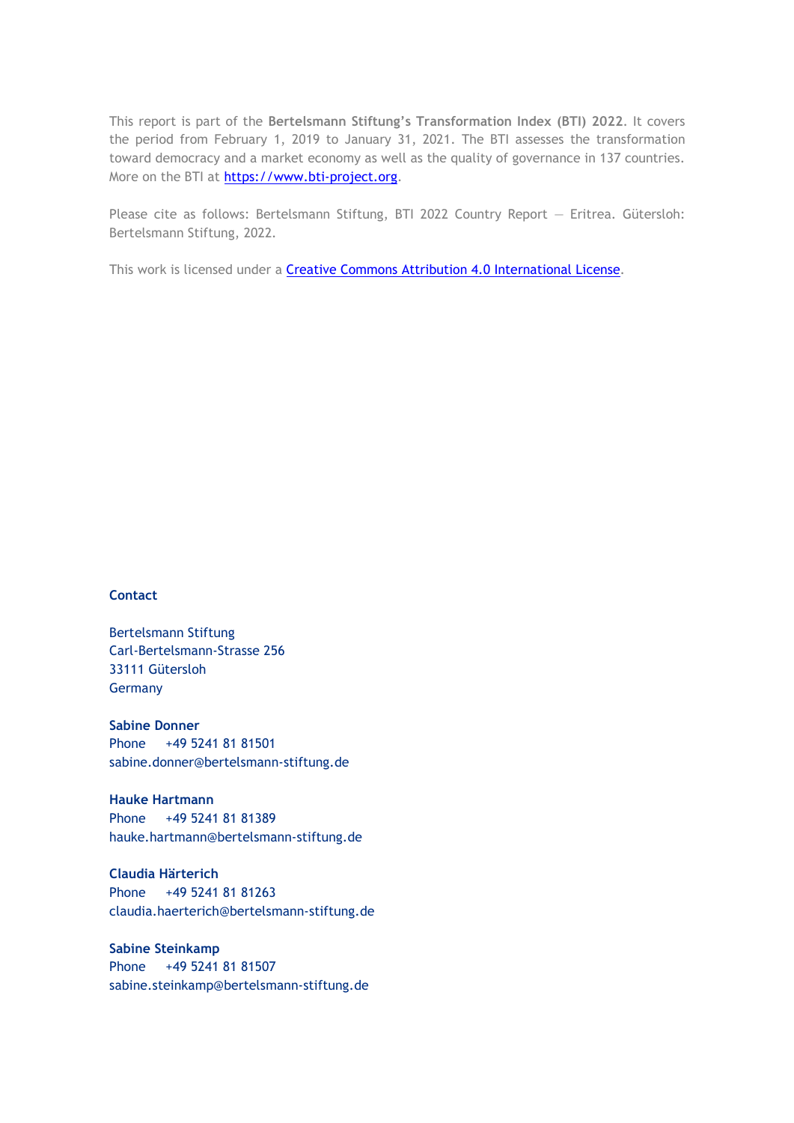This report is part of the **Bertelsmann Stiftung's Transformation Index (BTI) 2022**. It covers the period from February 1, 2019 to January 31, 2021. The BTI assesses the transformation toward democracy and a market economy as well as the quality of governance in 137 countries. More on the BTI at [https://www.bti-project.org.](https://www.bti-project.org/)

Please cite as follows: Bertelsmann Stiftung, BTI 2022 Country Report — Eritrea. Gütersloh: Bertelsmann Stiftung, 2022.

This work is licensed under a **Creative Commons Attribution 4.0 International License**.

#### **Contact**

Bertelsmann Stiftung Carl-Bertelsmann-Strasse 256 33111 Gütersloh Germany

**Sabine Donner** Phone +49 5241 81 81501 sabine.donner@bertelsmann-stiftung.de

**Hauke Hartmann** Phone +49 5241 81 81389 hauke.hartmann@bertelsmann-stiftung.de

**Claudia Härterich** Phone +49 5241 81 81263 claudia.haerterich@bertelsmann-stiftung.de

#### **Sabine Steinkamp** Phone +49 5241 81 81507 sabine.steinkamp@bertelsmann-stiftung.de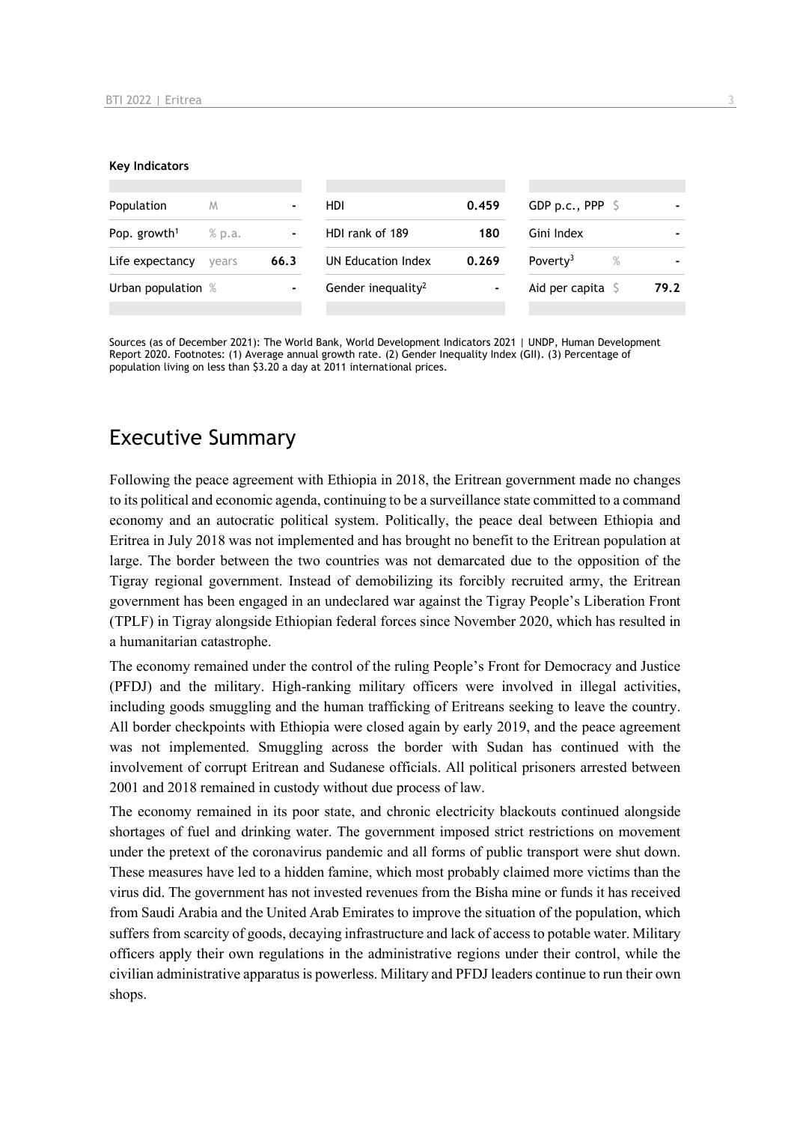#### **Key Indicators**

| Population               | M      |      | HDI                            | 0.459 | GDP p.c., PPP $\mathsf{S}$   |      |
|--------------------------|--------|------|--------------------------------|-------|------------------------------|------|
| Pop. growth <sup>1</sup> | % p.a. | ۰    | HDI rank of 189                | 180   | Gini Index                   |      |
| Life expectancy          | vears  | 66.3 | UN Education Index             | 0.269 | Poverty <sup>3</sup><br>$\%$ |      |
| Urban population %       |        |      | Gender inequality <sup>2</sup> | ۰     | Aid per capita $\sqrt{5}$    | 79.2 |
|                          |        |      |                                |       |                              |      |

Sources (as of December 2021): The World Bank, World Development Indicators 2021 | UNDP, Human Development Report 2020. Footnotes: (1) Average annual growth rate. (2) Gender Inequality Index (GII). (3) Percentage of population living on less than \$3.20 a day at 2011 international prices.

### Executive Summary

Following the peace agreement with Ethiopia in 2018, the Eritrean government made no changes to its political and economic agenda, continuing to be a surveillance state committed to a command economy and an autocratic political system. Politically, the peace deal between Ethiopia and Eritrea in July 2018 was not implemented and has brought no benefit to the Eritrean population at large. The border between the two countries was not demarcated due to the opposition of the Tigray regional government. Instead of demobilizing its forcibly recruited army, the Eritrean government has been engaged in an undeclared war against the Tigray People's Liberation Front (TPLF) in Tigray alongside Ethiopian federal forces since November 2020, which has resulted in a humanitarian catastrophe.

The economy remained under the control of the ruling People's Front for Democracy and Justice (PFDJ) and the military. High-ranking military officers were involved in illegal activities, including goods smuggling and the human trafficking of Eritreans seeking to leave the country. All border checkpoints with Ethiopia were closed again by early 2019, and the peace agreement was not implemented. Smuggling across the border with Sudan has continued with the involvement of corrupt Eritrean and Sudanese officials. All political prisoners arrested between 2001 and 2018 remained in custody without due process of law.

The economy remained in its poor state, and chronic electricity blackouts continued alongside shortages of fuel and drinking water. The government imposed strict restrictions on movement under the pretext of the coronavirus pandemic and all forms of public transport were shut down. These measures have led to a hidden famine, which most probably claimed more victims than the virus did. The government has not invested revenues from the Bisha mine or funds it has received from Saudi Arabia and the United Arab Emirates to improve the situation of the population, which suffers from scarcity of goods, decaying infrastructure and lack of access to potable water. Military officers apply their own regulations in the administrative regions under their control, while the civilian administrative apparatus is powerless. Military and PFDJ leaders continue to run their own shops.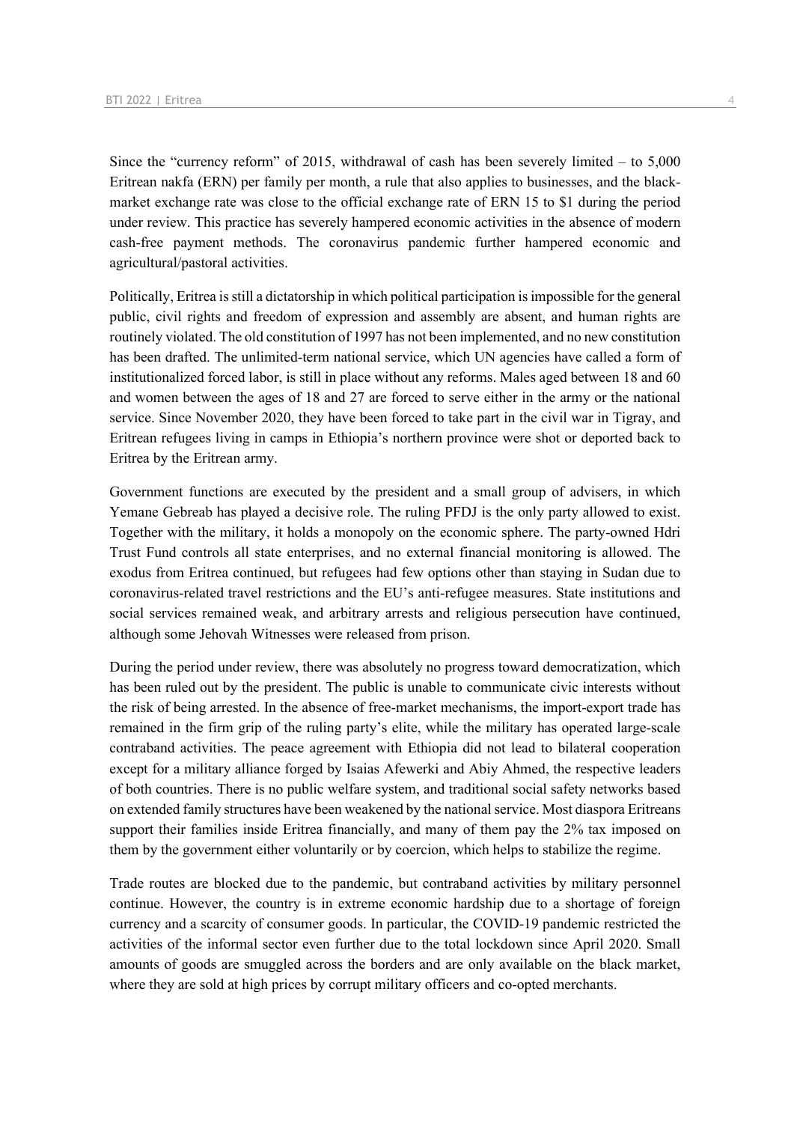Since the "currency reform" of 2015, withdrawal of cash has been severely limited  $-$  to 5,000 Eritrean nakfa (ERN) per family per month, a rule that also applies to businesses, and the blackmarket exchange rate was close to the official exchange rate of ERN 15 to \$1 during the period under review. This practice has severely hampered economic activities in the absence of modern cash-free payment methods. The coronavirus pandemic further hampered economic and agricultural/pastoral activities.

Politically, Eritrea is still a dictatorship in which political participation is impossible for the general public, civil rights and freedom of expression and assembly are absent, and human rights are routinely violated. The old constitution of 1997 has not been implemented, and no new constitution has been drafted. The unlimited-term national service, which UN agencies have called a form of institutionalized forced labor, is still in place without any reforms. Males aged between 18 and 60 and women between the ages of 18 and 27 are forced to serve either in the army or the national service. Since November 2020, they have been forced to take part in the civil war in Tigray, and Eritrean refugees living in camps in Ethiopia's northern province were shot or deported back to Eritrea by the Eritrean army.

Government functions are executed by the president and a small group of advisers, in which Yemane Gebreab has played a decisive role. The ruling PFDJ is the only party allowed to exist. Together with the military, it holds a monopoly on the economic sphere. The party-owned Hdri Trust Fund controls all state enterprises, and no external financial monitoring is allowed. The exodus from Eritrea continued, but refugees had few options other than staying in Sudan due to coronavirus-related travel restrictions and the EU's anti-refugee measures. State institutions and social services remained weak, and arbitrary arrests and religious persecution have continued, although some Jehovah Witnesses were released from prison.

During the period under review, there was absolutely no progress toward democratization, which has been ruled out by the president. The public is unable to communicate civic interests without the risk of being arrested. In the absence of free-market mechanisms, the import-export trade has remained in the firm grip of the ruling party's elite, while the military has operated large-scale contraband activities. The peace agreement with Ethiopia did not lead to bilateral cooperation except for a military alliance forged by Isaias Afewerki and Abiy Ahmed, the respective leaders of both countries. There is no public welfare system, and traditional social safety networks based on extended family structures have been weakened by the national service. Most diaspora Eritreans support their families inside Eritrea financially, and many of them pay the 2% tax imposed on them by the government either voluntarily or by coercion, which helps to stabilize the regime.

Trade routes are blocked due to the pandemic, but contraband activities by military personnel continue. However, the country is in extreme economic hardship due to a shortage of foreign currency and a scarcity of consumer goods. In particular, the COVID-19 pandemic restricted the activities of the informal sector even further due to the total lockdown since April 2020. Small amounts of goods are smuggled across the borders and are only available on the black market, where they are sold at high prices by corrupt military officers and co-opted merchants.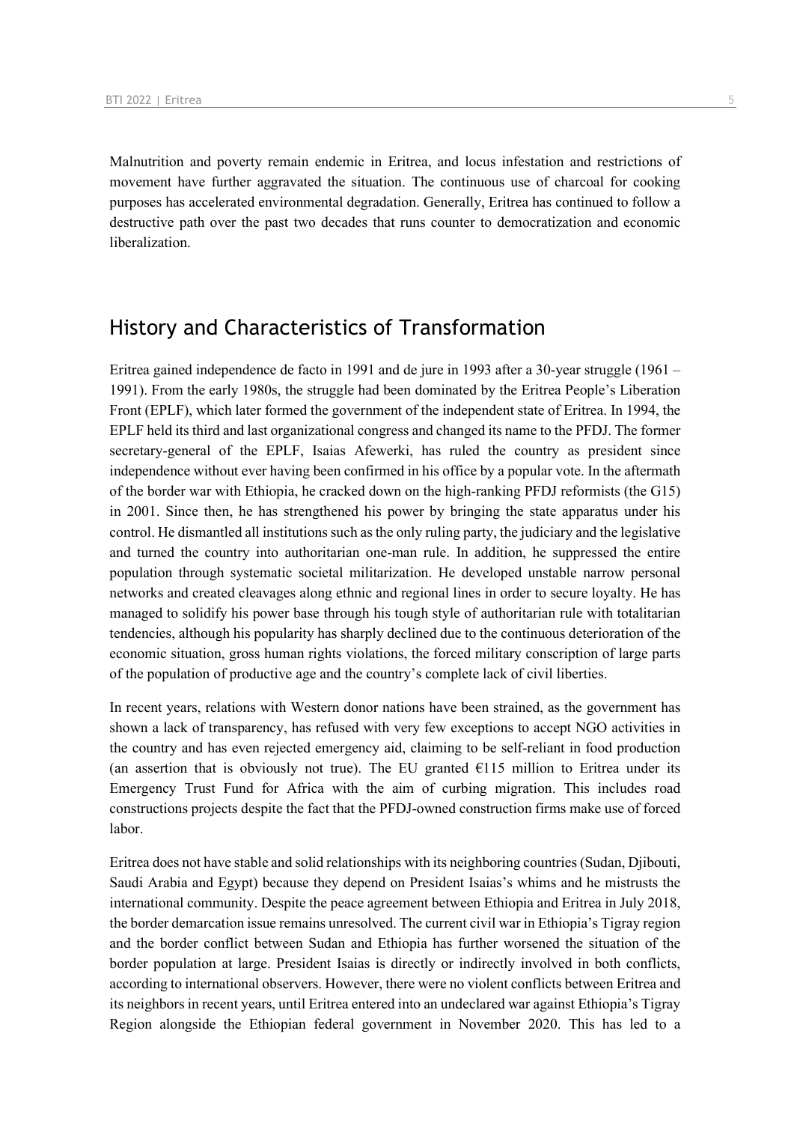Malnutrition and poverty remain endemic in Eritrea, and locus infestation and restrictions of movement have further aggravated the situation. The continuous use of charcoal for cooking purposes has accelerated environmental degradation. Generally, Eritrea has continued to follow a destructive path over the past two decades that runs counter to democratization and economic liberalization.

### History and Characteristics of Transformation

Eritrea gained independence de facto in 1991 and de jure in 1993 after a 30-year struggle (1961 – 1991). From the early 1980s, the struggle had been dominated by the Eritrea People's Liberation Front (EPLF), which later formed the government of the independent state of Eritrea. In 1994, the EPLF held its third and last organizational congress and changed its name to the PFDJ. The former secretary-general of the EPLF, Isaias Afewerki, has ruled the country as president since independence without ever having been confirmed in his office by a popular vote. In the aftermath of the border war with Ethiopia, he cracked down on the high-ranking PFDJ reformists (the G15) in 2001. Since then, he has strengthened his power by bringing the state apparatus under his control. He dismantled all institutions such as the only ruling party, the judiciary and the legislative and turned the country into authoritarian one-man rule. In addition, he suppressed the entire population through systematic societal militarization. He developed unstable narrow personal networks and created cleavages along ethnic and regional lines in order to secure loyalty. He has managed to solidify his power base through his tough style of authoritarian rule with totalitarian tendencies, although his popularity has sharply declined due to the continuous deterioration of the economic situation, gross human rights violations, the forced military conscription of large parts of the population of productive age and the country's complete lack of civil liberties.

In recent years, relations with Western donor nations have been strained, as the government has shown a lack of transparency, has refused with very few exceptions to accept NGO activities in the country and has even rejected emergency aid, claiming to be self-reliant in food production (an assertion that is obviously not true). The EU granted  $E115$  million to Eritrea under its Emergency Trust Fund for Africa with the aim of curbing migration. This includes road constructions projects despite the fact that the PFDJ-owned construction firms make use of forced labor.

Eritrea does not have stable and solid relationships with its neighboring countries (Sudan, Djibouti, Saudi Arabia and Egypt) because they depend on President Isaias's whims and he mistrusts the international community. Despite the peace agreement between Ethiopia and Eritrea in July 2018, the border demarcation issue remains unresolved. The current civil war in Ethiopia's Tigray region and the border conflict between Sudan and Ethiopia has further worsened the situation of the border population at large. President Isaias is directly or indirectly involved in both conflicts, according to international observers. However, there were no violent conflicts between Eritrea and its neighbors in recent years, until Eritrea entered into an undeclared war against Ethiopia's Tigray Region alongside the Ethiopian federal government in November 2020. This has led to a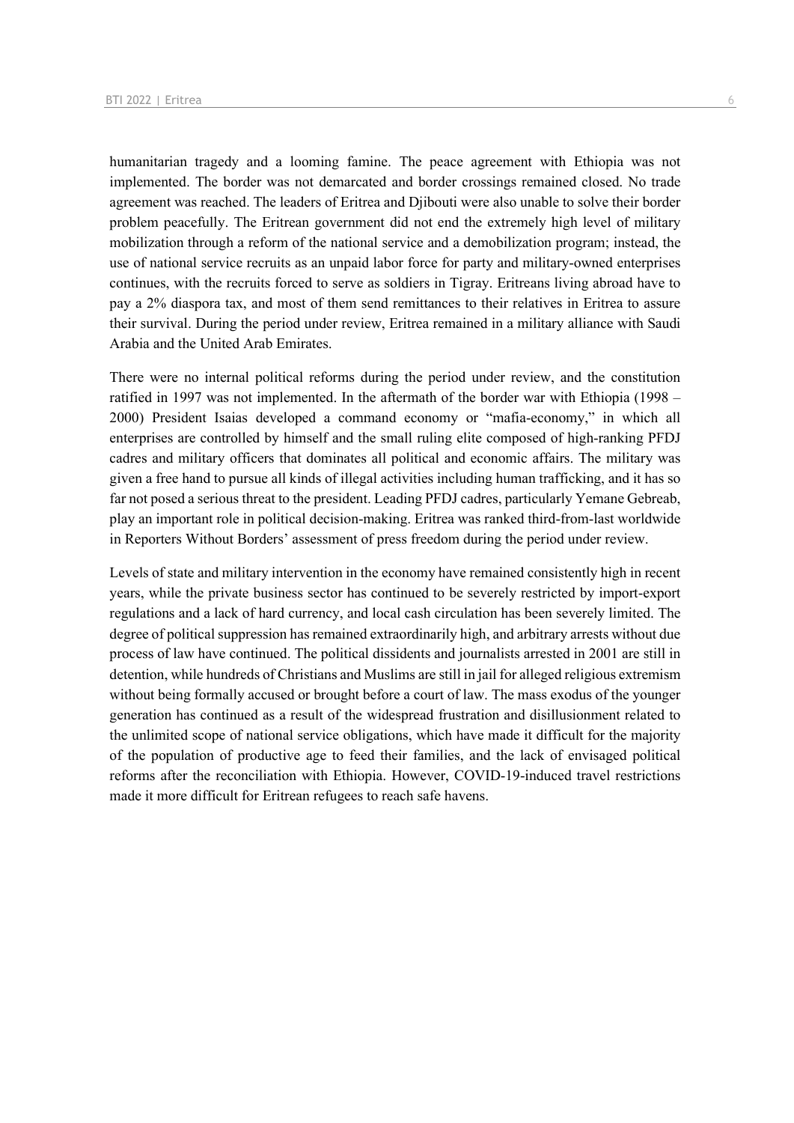humanitarian tragedy and a looming famine. The peace agreement with Ethiopia was not implemented. The border was not demarcated and border crossings remained closed. No trade agreement was reached. The leaders of Eritrea and Djibouti were also unable to solve their border problem peacefully. The Eritrean government did not end the extremely high level of military mobilization through a reform of the national service and a demobilization program; instead, the use of national service recruits as an unpaid labor force for party and military-owned enterprises continues, with the recruits forced to serve as soldiers in Tigray. Eritreans living abroad have to pay a 2% diaspora tax, and most of them send remittances to their relatives in Eritrea to assure their survival. During the period under review, Eritrea remained in a military alliance with Saudi Arabia and the United Arab Emirates.

There were no internal political reforms during the period under review, and the constitution ratified in 1997 was not implemented. In the aftermath of the border war with Ethiopia (1998 – 2000) President Isaias developed a command economy or "mafia-economy," in which all enterprises are controlled by himself and the small ruling elite composed of high-ranking PFDJ cadres and military officers that dominates all political and economic affairs. The military was given a free hand to pursue all kinds of illegal activities including human trafficking, and it has so far not posed a serious threat to the president. Leading PFDJ cadres, particularly Yemane Gebreab, play an important role in political decision-making. Eritrea was ranked third-from-last worldwide in Reporters Without Borders' assessment of press freedom during the period under review.

Levels of state and military intervention in the economy have remained consistently high in recent years, while the private business sector has continued to be severely restricted by import-export regulations and a lack of hard currency, and local cash circulation has been severely limited. The degree of political suppression has remained extraordinarily high, and arbitrary arrests without due process of law have continued. The political dissidents and journalists arrested in 2001 are still in detention, while hundreds of Christians and Muslims are still in jail for alleged religious extremism without being formally accused or brought before a court of law. The mass exodus of the younger generation has continued as a result of the widespread frustration and disillusionment related to the unlimited scope of national service obligations, which have made it difficult for the majority of the population of productive age to feed their families, and the lack of envisaged political reforms after the reconciliation with Ethiopia. However, COVID-19-induced travel restrictions made it more difficult for Eritrean refugees to reach safe havens.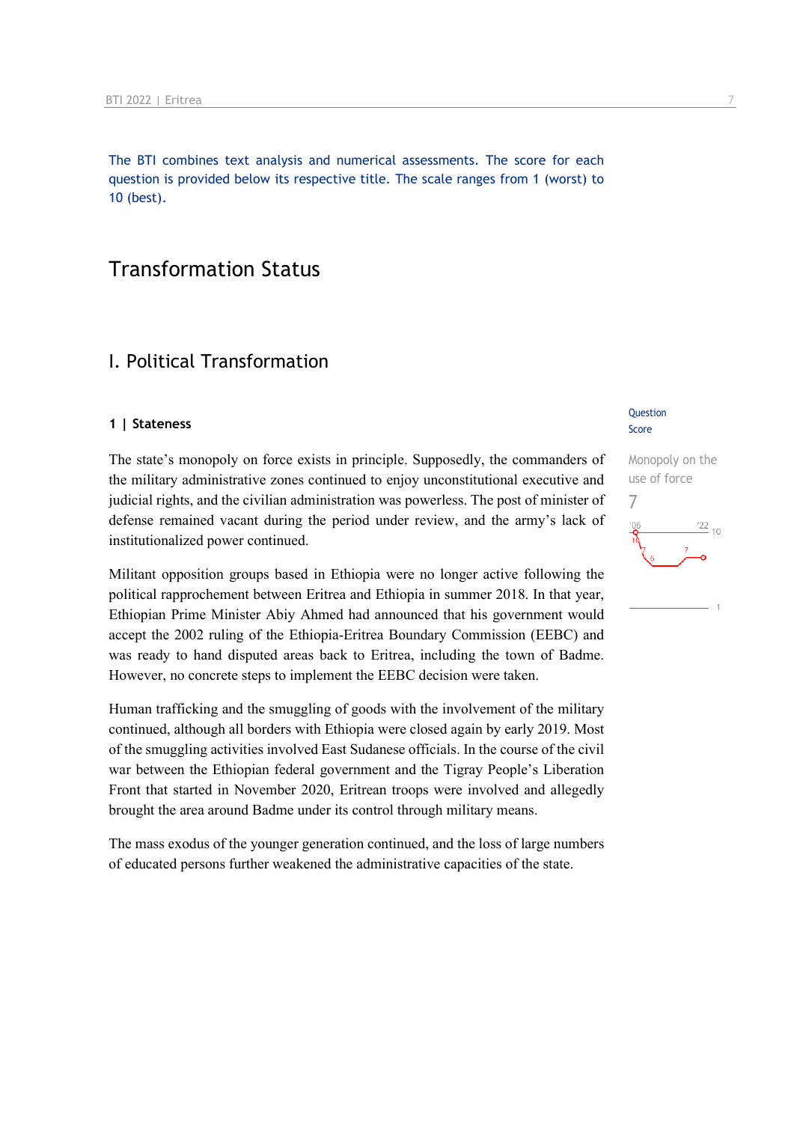The BTI combines text analysis and numerical assessments. The score for each question is provided below its respective title. The scale ranges from 1 (worst) to 10 (best).

### Transformation Status

### I. Political Transformation

#### **1 | Stateness**

The state's monopoly on force exists in principle. Supposedly, the commanders of the military administrative zones continued to enjoy unconstitutional executive and judicial rights, and the civilian administration was powerless. The post of minister of defense remained vacant during the period under review, and the army's lack of institutionalized power continued.

Militant opposition groups based in Ethiopia were no longer active following the political rapprochement between Eritrea and Ethiopia in summer 2018. In that year, Ethiopian Prime Minister Abiy Ahmed had announced that his government would accept the 2002 ruling of the Ethiopia-Eritrea Boundary Commission (EEBC) and was ready to hand disputed areas back to Eritrea, including the town of Badme. However, no concrete steps to implement the EEBC decision were taken.

Human trafficking and the smuggling of goods with the involvement of the military continued, although all borders with Ethiopia were closed again by early 2019. Most of the smuggling activities involved East Sudanese officials. In the course of the civil war between the Ethiopian federal government and the Tigray People's Liberation Front that started in November 2020, Eritrean troops were involved and allegedly brought the area around Badme under its control through military means.

The mass exodus of the younger generation continued, and the loss of large numbers of educated persons further weakened the administrative capacities of the state.

#### **Question** Score

Monopoly on the use of force 7 $\frac{22}{10}$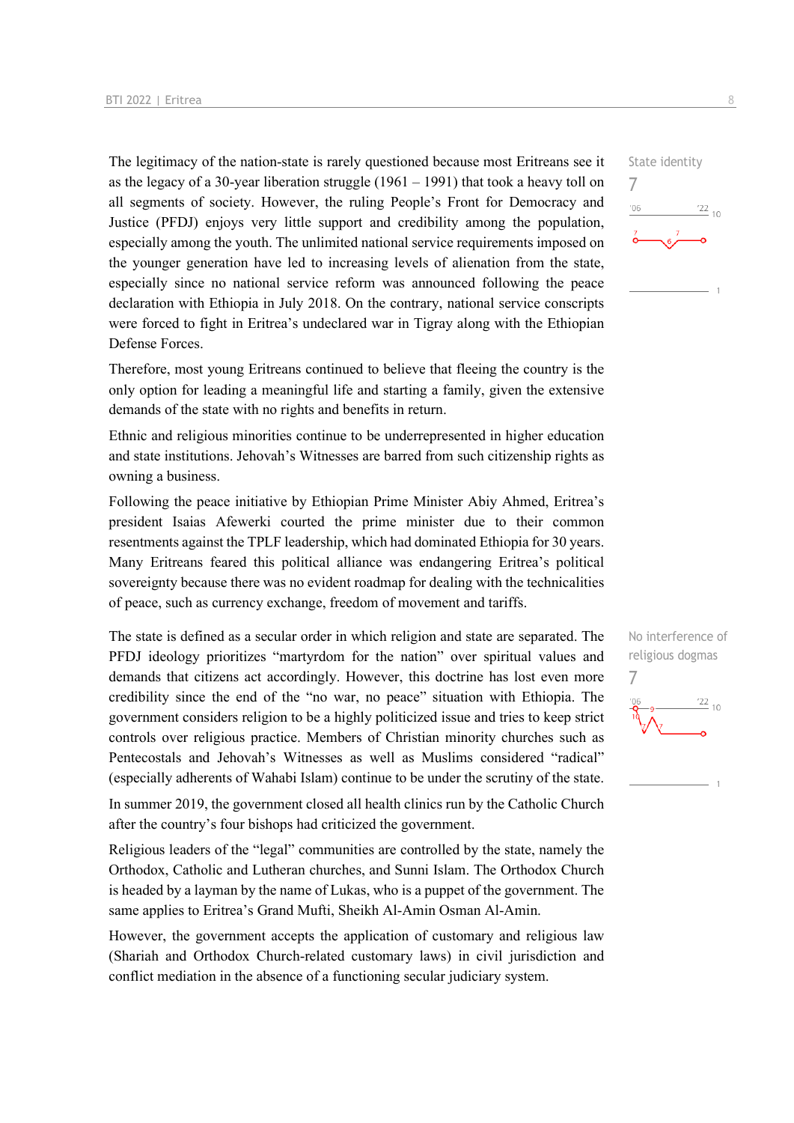The legitimacy of the nation-state is rarely questioned because most Eritreans see it as the legacy of a 30-year liberation struggle  $(1961 - 1991)$  that took a heavy toll on all segments of society. However, the ruling People's Front for Democracy and Justice (PFDJ) enjoys very little support and credibility among the population, especially among the youth. The unlimited national service requirements imposed on the younger generation have led to increasing levels of alienation from the state, especially since no national service reform was announced following the peace declaration with Ethiopia in July 2018. On the contrary, national service conscripts were forced to fight in Eritrea's undeclared war in Tigray along with the Ethiopian Defense Forces.

Therefore, most young Eritreans continued to believe that fleeing the country is the only option for leading a meaningful life and starting a family, given the extensive demands of the state with no rights and benefits in return.

Ethnic and religious minorities continue to be underrepresented in higher education and state institutions. Jehovah's Witnesses are barred from such citizenship rights as owning a business.

Following the peace initiative by Ethiopian Prime Minister Abiy Ahmed, Eritrea's president Isaias Afewerki courted the prime minister due to their common resentments against the TPLF leadership, which had dominated Ethiopia for 30 years. Many Eritreans feared this political alliance was endangering Eritrea's political sovereignty because there was no evident roadmap for dealing with the technicalities of peace, such as currency exchange, freedom of movement and tariffs.

The state is defined as a secular order in which religion and state are separated. The PFDJ ideology prioritizes "martyrdom for the nation" over spiritual values and demands that citizens act accordingly. However, this doctrine has lost even more credibility since the end of the "no war, no peace" situation with Ethiopia. The government considers religion to be a highly politicized issue and tries to keep strict controls over religious practice. Members of Christian minority churches such as Pentecostals and Jehovah's Witnesses as well as Muslims considered "radical" (especially adherents of Wahabi Islam) continue to be under the scrutiny of the state.

In summer 2019, the government closed all health clinics run by the Catholic Church after the country's four bishops had criticized the government.

Religious leaders of the "legal" communities are controlled by the state, namely the Orthodox, Catholic and Lutheran churches, and Sunni Islam. The Orthodox Church is headed by a layman by the name of Lukas, who is a puppet of the government. The same applies to Eritrea's Grand Mufti, Sheikh Al-Amin Osman Al-Amin.

However, the government accepts the application of customary and religious law (Shariah and Orthodox Church-related customary laws) in civil jurisdiction and conflict mediation in the absence of a functioning secular judiciary system.





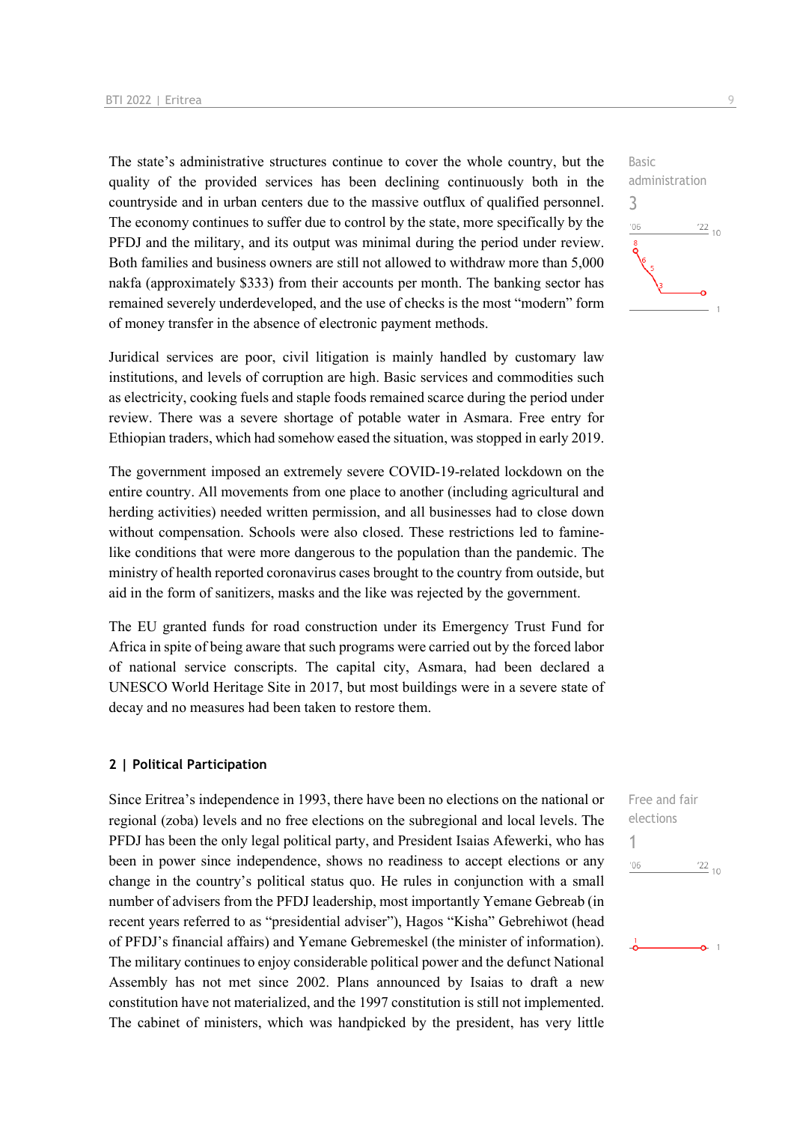The state's administrative structures continue to cover the whole country, but the quality of the provided services has been declining continuously both in the countryside and in urban centers due to the massive outflux of qualified personnel. The economy continues to suffer due to control by the state, more specifically by the PFDJ and the military, and its output was minimal during the period under review. Both families and business owners are still not allowed to withdraw more than 5,000 nakfa (approximately \$333) from their accounts per month. The banking sector has remained severely underdeveloped, and the use of checks is the most "modern" form of money transfer in the absence of electronic payment methods.

Juridical services are poor, civil litigation is mainly handled by customary law institutions, and levels of corruption are high. Basic services and commodities such as electricity, cooking fuels and staple foods remained scarce during the period under review. There was a severe shortage of potable water in Asmara. Free entry for Ethiopian traders, which had somehow eased the situation, was stopped in early 2019.

The government imposed an extremely severe COVID-19-related lockdown on the entire country. All movements from one place to another (including agricultural and herding activities) needed written permission, and all businesses had to close down without compensation. Schools were also closed. These restrictions led to faminelike conditions that were more dangerous to the population than the pandemic. The ministry of health reported coronavirus cases brought to the country from outside, but aid in the form of sanitizers, masks and the like was rejected by the government.

The EU granted funds for road construction under its Emergency Trust Fund for Africa in spite of being aware that such programs were carried out by the forced labor of national service conscripts. The capital city, Asmara, had been declared a UNESCO World Heritage Site in 2017, but most buildings were in a severe state of decay and no measures had been taken to restore them.

#### **2 | Political Participation**

Since Eritrea's independence in 1993, there have been no elections on the national or regional (zoba) levels and no free elections on the subregional and local levels. The PFDJ has been the only legal political party, and President Isaias Afewerki, who has been in power since independence, shows no readiness to accept elections or any change in the country's political status quo. He rules in conjunction with a small number of advisers from the PFDJ leadership, most importantly Yemane Gebreab (in recent years referred to as "presidential adviser"), Hagos "Kisha" Gebrehiwot (head of PFDJ's financial affairs) and Yemane Gebremeskel (the minister of information). The military continues to enjoy considerable political power and the defunct National Assembly has not met since 2002. Plans announced by Isaias to draft a new constitution have not materialized, and the 1997 constitution is still not implemented. The cabinet of ministers, which was handpicked by the president, has very little



| Free and fair |                 |
|---------------|-----------------|
| elections     |                 |
|               |                 |
| 106           | $\frac{22}{10}$ |
|               |                 |
|               |                 |
|               |                 |
|               |                 |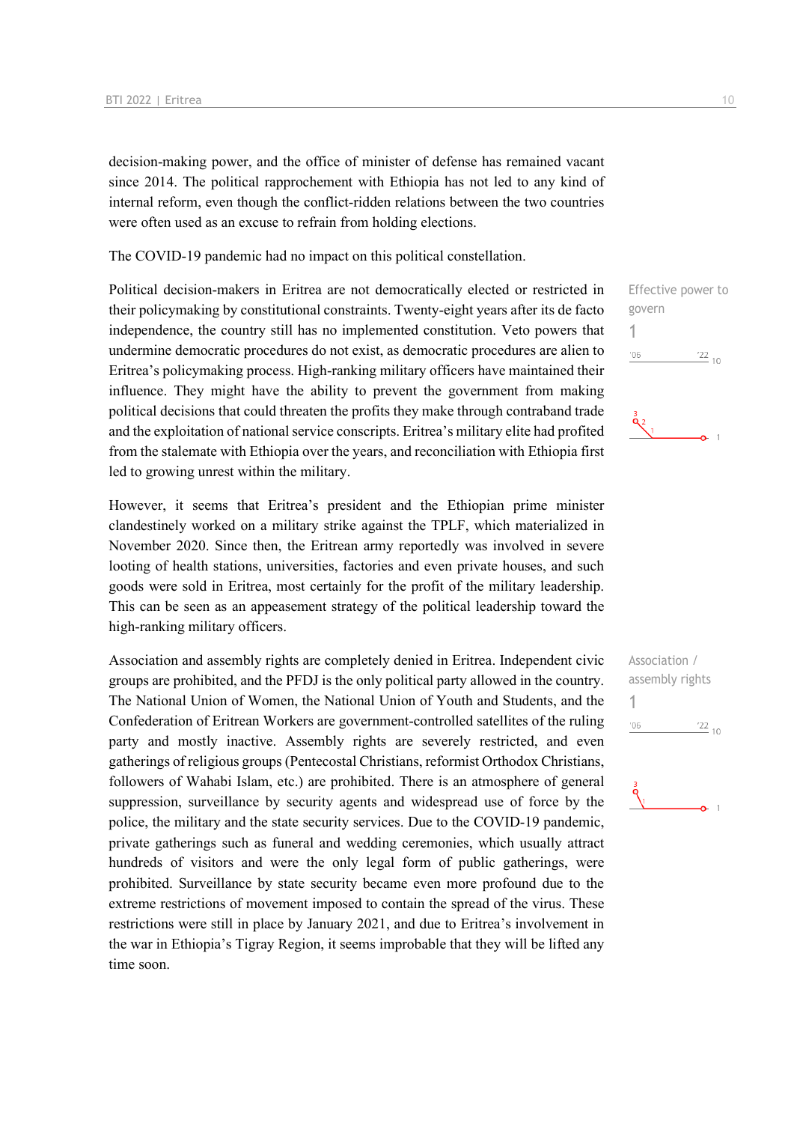decision-making power, and the office of minister of defense has remained vacant since 2014. The political rapprochement with Ethiopia has not led to any kind of internal reform, even though the conflict-ridden relations between the two countries were often used as an excuse to refrain from holding elections.

The COVID-19 pandemic had no impact on this political constellation.

Political decision-makers in Eritrea are not democratically elected or restricted in their policymaking by constitutional constraints. Twenty-eight years after its de facto independence, the country still has no implemented constitution. Veto powers that undermine democratic procedures do not exist, as democratic procedures are alien to Eritrea's policymaking process. High-ranking military officers have maintained their influence. They might have the ability to prevent the government from making political decisions that could threaten the profits they make through contraband trade and the exploitation of national service conscripts. Eritrea's military elite had profited from the stalemate with Ethiopia over the years, and reconciliation with Ethiopia first led to growing unrest within the military.

However, it seems that Eritrea's president and the Ethiopian prime minister clandestinely worked on a military strike against the TPLF, which materialized in November 2020. Since then, the Eritrean army reportedly was involved in severe looting of health stations, universities, factories and even private houses, and such goods were sold in Eritrea, most certainly for the profit of the military leadership. This can be seen as an appeasement strategy of the political leadership toward the high-ranking military officers.

Association and assembly rights are completely denied in Eritrea. Independent civic groups are prohibited, and the PFDJ is the only political party allowed in the country. The National Union of Women, the National Union of Youth and Students, and the Confederation of Eritrean Workers are government-controlled satellites of the ruling party and mostly inactive. Assembly rights are severely restricted, and even gatherings of religious groups (Pentecostal Christians, reformist Orthodox Christians, followers of Wahabi Islam, etc.) are prohibited. There is an atmosphere of general suppression, surveillance by security agents and widespread use of force by the police, the military and the state security services. Due to the COVID-19 pandemic, private gatherings such as funeral and wedding ceremonies, which usually attract hundreds of visitors and were the only legal form of public gatherings, were prohibited. Surveillance by state security became even more profound due to the extreme restrictions of movement imposed to contain the spread of the virus. These restrictions were still in place by January 2021, and due to Eritrea's involvement in the war in Ethiopia's Tigray Region, it seems improbable that they will be lifted any time soon.



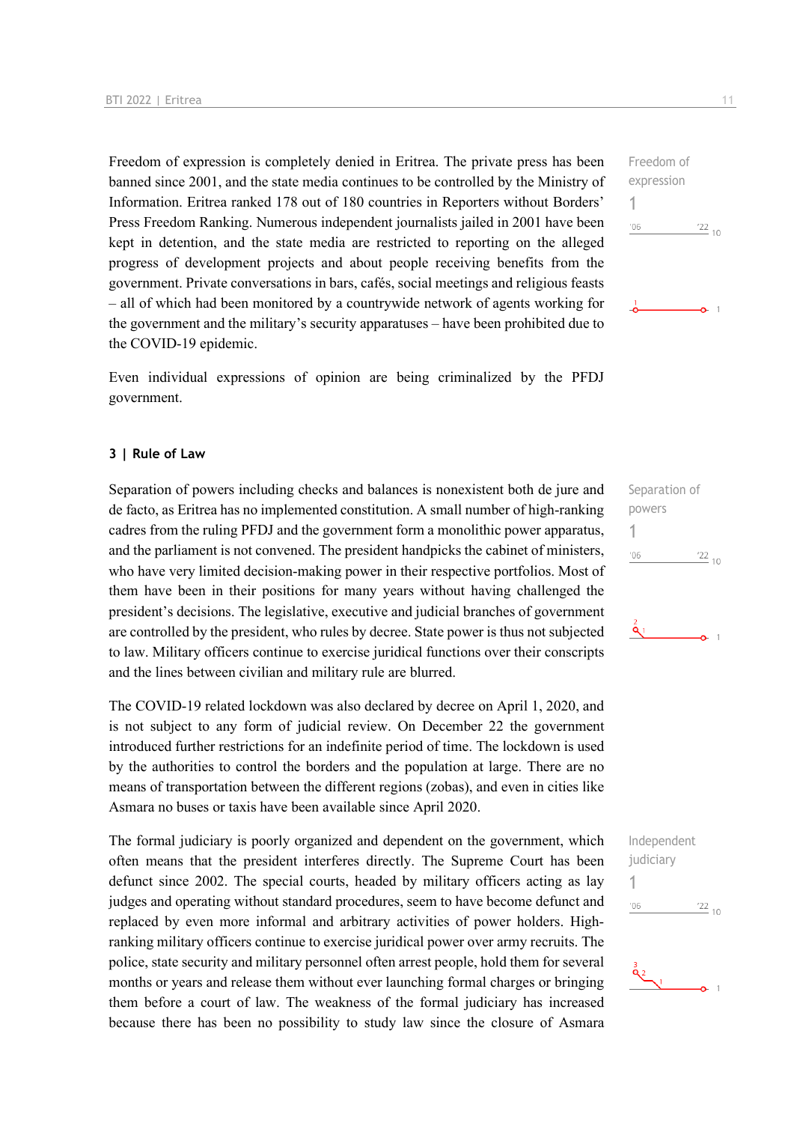Freedom of expression is completely denied in Eritrea. The private press has been banned since 2001, and the state media continues to be controlled by the Ministry of Information. Eritrea ranked 178 out of 180 countries in Reporters without Borders' Press Freedom Ranking. Numerous independent journalists jailed in 2001 have been kept in detention, and the state media are restricted to reporting on the alleged progress of development projects and about people receiving benefits from the government. Private conversations in bars, cafés, social meetings and religious feasts – all of which had been monitored by a countrywide network of agents working for the government and the military's security apparatuses – have been prohibited due to the COVID-19 epidemic.

Even individual expressions of opinion are being criminalized by the PFDJ government.

#### **3 | Rule of Law**

Separation of powers including checks and balances is nonexistent both de jure and de facto, as Eritrea has no implemented constitution. A small number of high-ranking cadres from the ruling PFDJ and the government form a monolithic power apparatus, and the parliament is not convened. The president handpicks the cabinet of ministers, who have very limited decision-making power in their respective portfolios. Most of them have been in their positions for many years without having challenged the president's decisions. The legislative, executive and judicial branches of government are controlled by the president, who rules by decree. State power is thus not subjected to law. Military officers continue to exercise juridical functions over their conscripts and the lines between civilian and military rule are blurred.

The COVID-19 related lockdown was also declared by decree on April 1, 2020, and is not subject to any form of judicial review. On December 22 the government introduced further restrictions for an indefinite period of time. The lockdown is used by the authorities to control the borders and the population at large. There are no means of transportation between the different regions (zobas), and even in cities like Asmara no buses or taxis have been available since April 2020.

The formal judiciary is poorly organized and dependent on the government, which often means that the president interferes directly. The Supreme Court has been defunct since 2002. The special courts, headed by military officers acting as lay judges and operating without standard procedures, seem to have become defunct and replaced by even more informal and arbitrary activities of power holders. Highranking military officers continue to exercise juridical power over army recruits. The police, state security and military personnel often arrest people, hold them for several months or years and release them without ever launching formal charges or bringing them before a court of law. The weakness of the formal judiciary has increased because there has been no possibility to study law since the closure of Asmara

Freedom of expression 1  $06'$  $\frac{22}{10}$ 

 $\Omega$  1





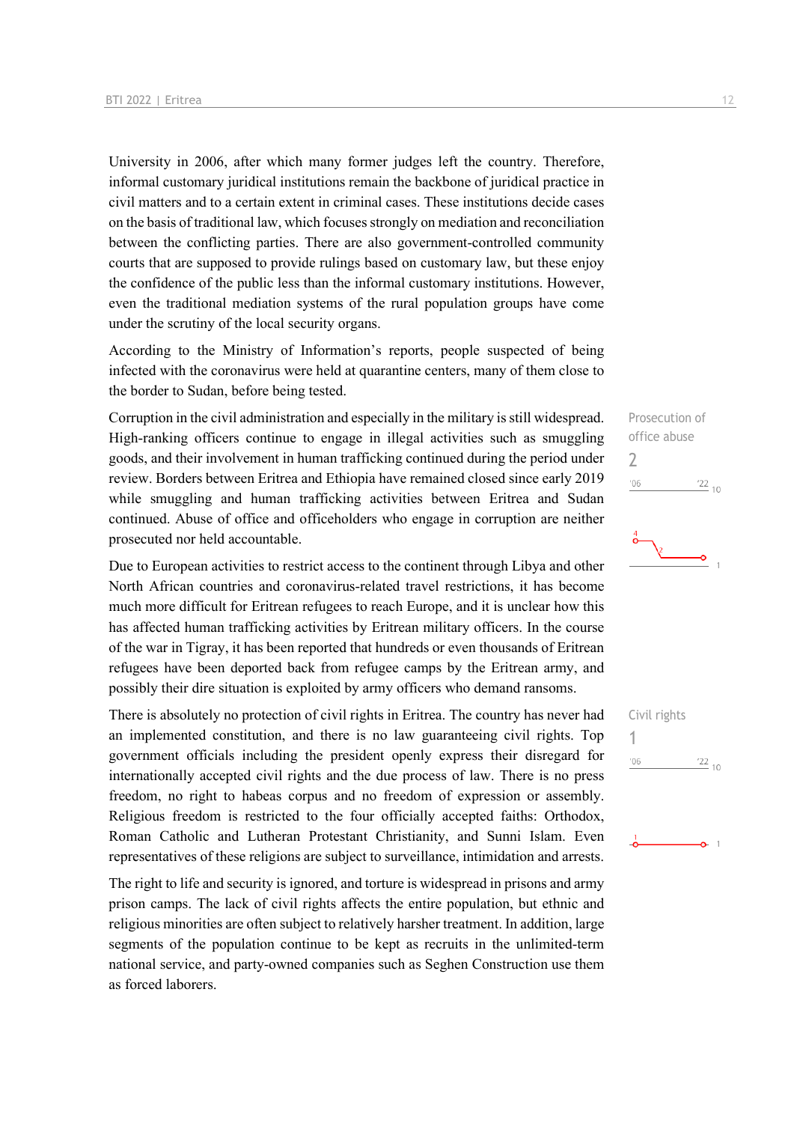University in 2006, after which many former judges left the country. Therefore, informal customary juridical institutions remain the backbone of juridical practice in civil matters and to a certain extent in criminal cases. These institutions decide cases on the basis of traditional law, which focuses strongly on mediation and reconciliation between the conflicting parties. There are also government-controlled community courts that are supposed to provide rulings based on customary law, but these enjoy the confidence of the public less than the informal customary institutions. However, even the traditional mediation systems of the rural population groups have come under the scrutiny of the local security organs.

According to the Ministry of Information's reports, people suspected of being infected with the coronavirus were held at quarantine centers, many of them close to the border to Sudan, before being tested.

Corruption in the civil administration and especially in the military is still widespread. High-ranking officers continue to engage in illegal activities such as smuggling goods, and their involvement in human trafficking continued during the period under review. Borders between Eritrea and Ethiopia have remained closed since early 2019 while smuggling and human trafficking activities between Eritrea and Sudan continued. Abuse of office and officeholders who engage in corruption are neither prosecuted nor held accountable.

Due to European activities to restrict access to the continent through Libya and other North African countries and coronavirus-related travel restrictions, it has become much more difficult for Eritrean refugees to reach Europe, and it is unclear how this has affected human trafficking activities by Eritrean military officers. In the course of the war in Tigray, it has been reported that hundreds or even thousands of Eritrean refugees have been deported back from refugee camps by the Eritrean army, and possibly their dire situation is exploited by army officers who demand ransoms.

There is absolutely no protection of civil rights in Eritrea. The country has never had an implemented constitution, and there is no law guaranteeing civil rights. Top government officials including the president openly express their disregard for internationally accepted civil rights and the due process of law. There is no press freedom, no right to habeas corpus and no freedom of expression or assembly. Religious freedom is restricted to the four officially accepted faiths: Orthodox, Roman Catholic and Lutheran Protestant Christianity, and Sunni Islam. Even representatives of these religions are subject to surveillance, intimidation and arrests.

The right to life and security is ignored, and torture is widespread in prisons and army prison camps. The lack of civil rights affects the entire population, but ethnic and religious minorities are often subject to relatively harsher treatment. In addition, large segments of the population continue to be kept as recruits in the unlimited-term national service, and party-owned companies such as Seghen Construction use them as forced laborers.



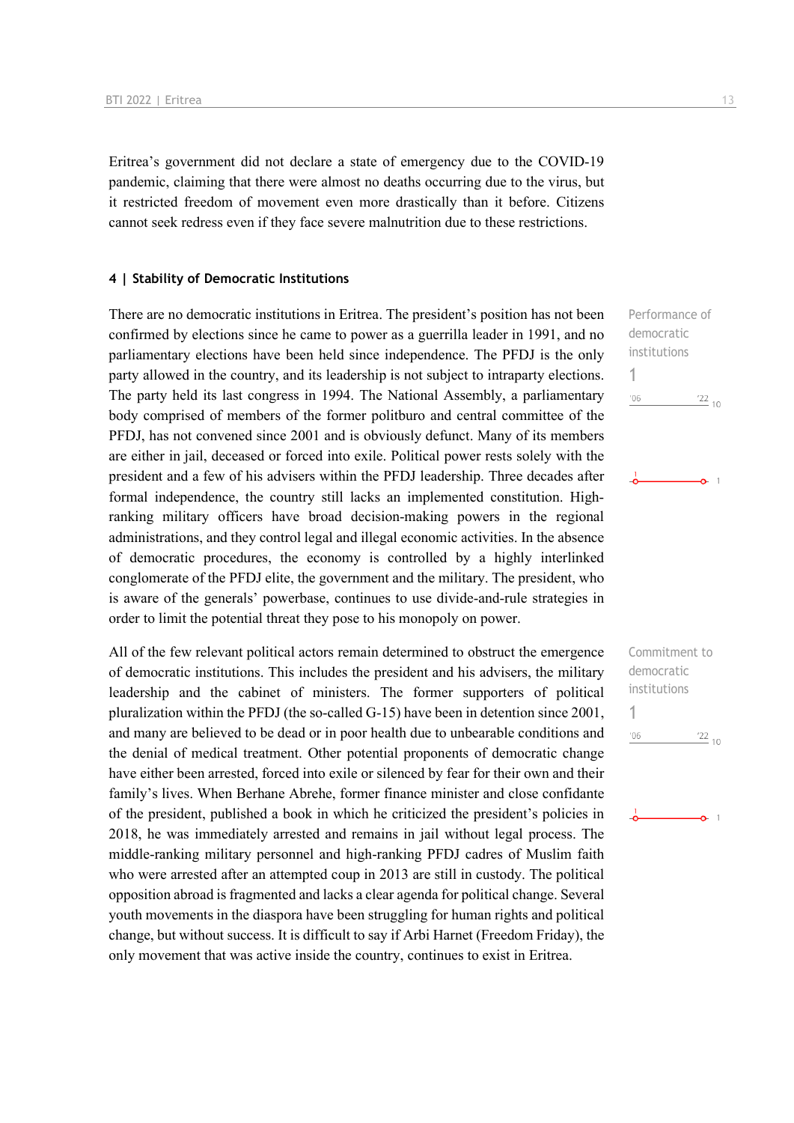Eritrea's government did not declare a state of emergency due to the COVID-19 pandemic, claiming that there were almost no deaths occurring due to the virus, but it restricted freedom of movement even more drastically than it before. Citizens cannot seek redress even if they face severe malnutrition due to these restrictions.

#### **4 | Stability of Democratic Institutions**

There are no democratic institutions in Eritrea. The president's position has not been confirmed by elections since he came to power as a guerrilla leader in 1991, and no parliamentary elections have been held since independence. The PFDJ is the only party allowed in the country, and its leadership is not subject to intraparty elections. The party held its last congress in 1994. The National Assembly, a parliamentary body comprised of members of the former politburo and central committee of the PFDJ, has not convened since 2001 and is obviously defunct. Many of its members are either in jail, deceased or forced into exile. Political power rests solely with the president and a few of his advisers within the PFDJ leadership. Three decades after formal independence, the country still lacks an implemented constitution. Highranking military officers have broad decision-making powers in the regional administrations, and they control legal and illegal economic activities. In the absence of democratic procedures, the economy is controlled by a highly interlinked conglomerate of the PFDJ elite, the government and the military. The president, who is aware of the generals' powerbase, continues to use divide-and-rule strategies in order to limit the potential threat they pose to his monopoly on power.

All of the few relevant political actors remain determined to obstruct the emergence of democratic institutions. This includes the president and his advisers, the military leadership and the cabinet of ministers. The former supporters of political pluralization within the PFDJ (the so-called G-15) have been in detention since 2001, and many are believed to be dead or in poor health due to unbearable conditions and the denial of medical treatment. Other potential proponents of democratic change have either been arrested, forced into exile or silenced by fear for their own and their family's lives. When Berhane Abrehe, former finance minister and close confidante of the president, published a book in which he criticized the president's policies in 2018, he was immediately arrested and remains in jail without legal process. The middle-ranking military personnel and high-ranking PFDJ cadres of Muslim faith who were arrested after an attempted coup in 2013 are still in custody. The political opposition abroad is fragmented and lacks a clear agenda for political change. Several youth movements in the diaspora have been struggling for human rights and political change, but without success. It is difficult to say if Arbi Harnet (Freedom Friday), the only movement that was active inside the country, continues to exist in Eritrea.

Performance of democratic institutions 1  $'06$  $\frac{22}{10}$ 

> $^{\circ}$  1 Ä.

Commitment to democratic institutions 1 $'06$  $\frac{22}{10}$ 

 $\Omega$  1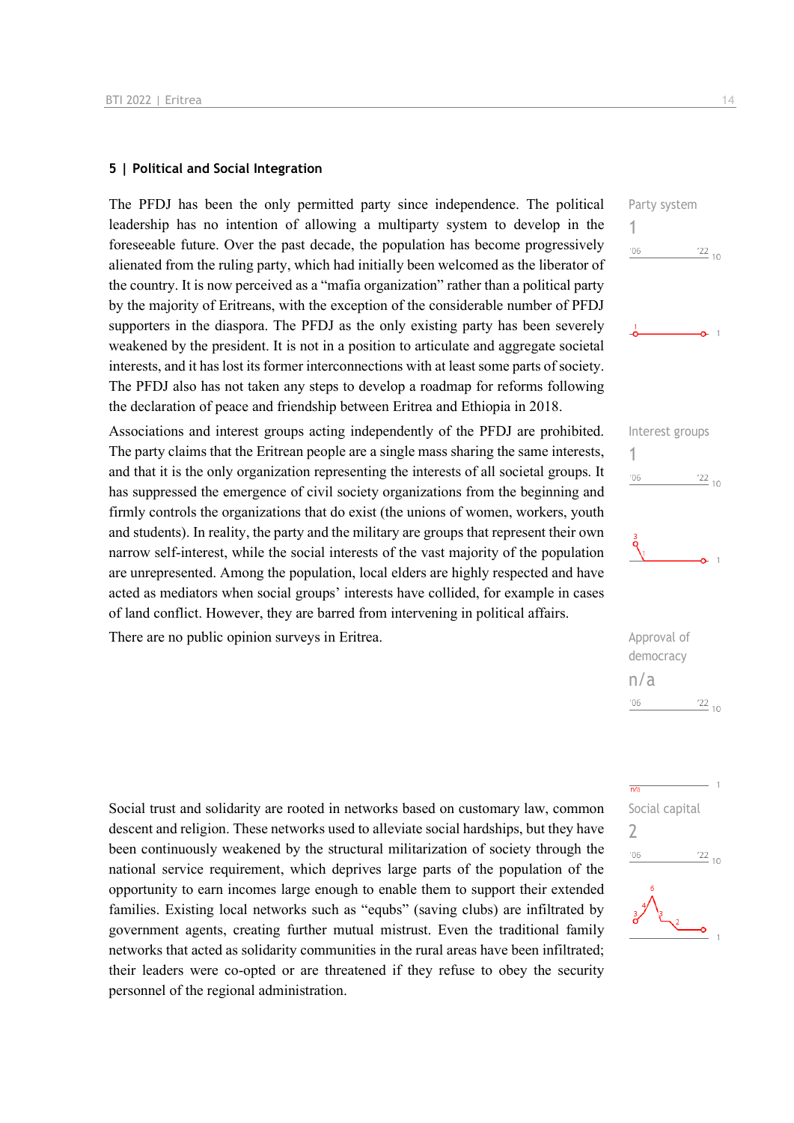#### **5 | Political and Social Integration**

The PFDJ has been the only permitted party since independence. The political leadership has no intention of allowing a multiparty system to develop in the foreseeable future. Over the past decade, the population has become progressively alienated from the ruling party, which had initially been welcomed as the liberator of the country. It is now perceived as a "mafia organization" rather than a political party by the majority of Eritreans, with the exception of the considerable number of PFDJ supporters in the diaspora. The PFDJ as the only existing party has been severely weakened by the president. It is not in a position to articulate and aggregate societal interests, and it has lost its former interconnections with at least some parts of society. The PFDJ also has not taken any steps to develop a roadmap for reforms following the declaration of peace and friendship between Eritrea and Ethiopia in 2018.

Associations and interest groups acting independently of the PFDJ are prohibited. The party claims that the Eritrean people are a single mass sharing the same interests, and that it is the only organization representing the interests of all societal groups. It has suppressed the emergence of civil society organizations from the beginning and firmly controls the organizations that do exist (the unions of women, workers, youth and students). In reality, the party and the military are groups that represent their own narrow self-interest, while the social interests of the vast majority of the population are unrepresented. Among the population, local elders are highly respected and have acted as mediators when social groups' interests have collided, for example in cases of land conflict. However, they are barred from intervening in political affairs.

There are no public opinion surveys in Eritrea. Approval of

Social trust and solidarity are rooted in networks based on customary law, common descent and religion. These networks used to alleviate social hardships, but they have been continuously weakened by the structural militarization of society through the national service requirement, which deprives large parts of the population of the opportunity to earn incomes large enough to enable them to support their extended families. Existing local networks such as "equbs" (saving clubs) are infiltrated by government agents, creating further mutual mistrust. Even the traditional family networks that acted as solidarity communities in the rural areas have been infiltrated; their leaders were co-opted or are threatened if they refuse to obey the security personnel of the regional administration.







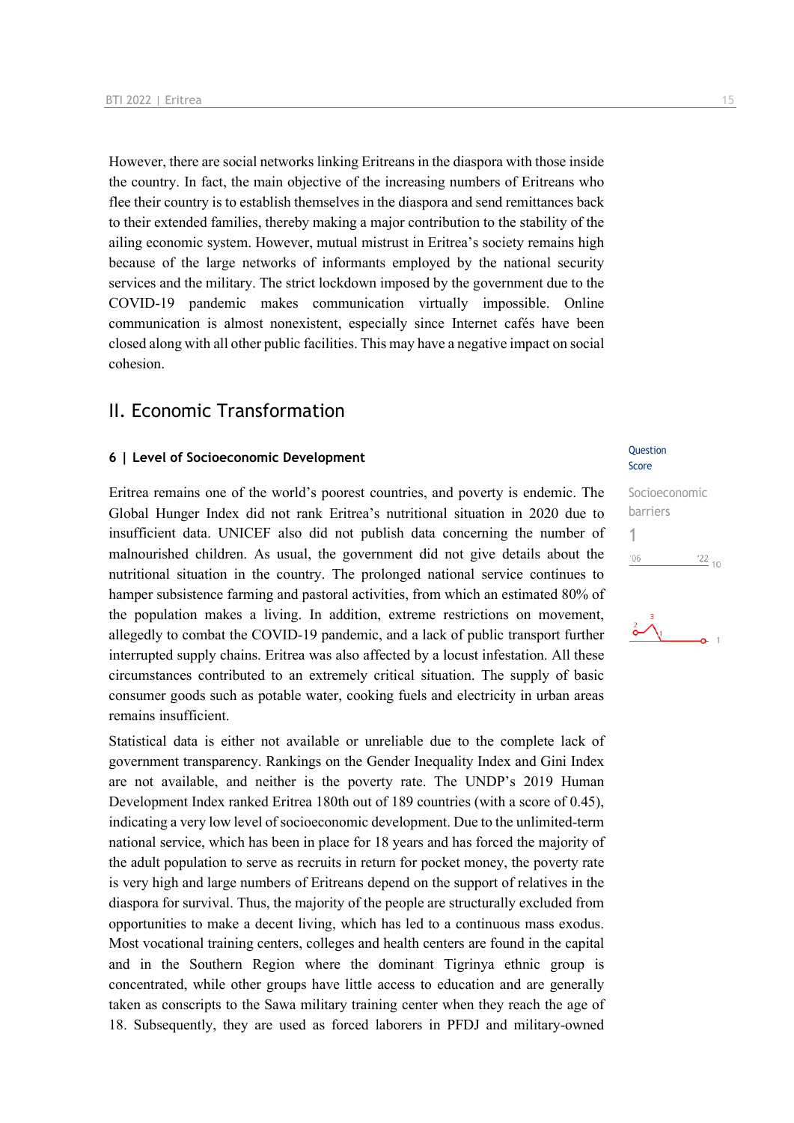However, there are social networks linking Eritreans in the diaspora with those inside the country. In fact, the main objective of the increasing numbers of Eritreans who flee their country is to establish themselves in the diaspora and send remittances back to their extended families, thereby making a major contribution to the stability of the ailing economic system. However, mutual mistrust in Eritrea's society remains high because of the large networks of informants employed by the national security services and the military. The strict lockdown imposed by the government due to the COVID-19 pandemic makes communication virtually impossible. Online communication is almost nonexistent, especially since Internet cafés have been closed along with all other public facilities. This may have a negative impact on social cohesion.

### II. Economic Transformation

### **6** | Level of Socioeconomic Development

Eritrea remains one of the world's poorest countries, and poverty is endemic. The Global Hunger Index did not rank Eritrea's nutritional situation in 2020 due to insufficient data. UNICEF also did not publish data concerning the number of malnourished children. As usual, the government did not give details about the nutritional situation in the country. The prolonged national service continues to hamper subsistence farming and pastoral activities, from which an estimated 80% of the population makes a living. In addition, extreme restrictions on movement, allegedly to combat the COVID-19 pandemic, and a lack of public transport further interrupted supply chains. Eritrea was also affected by a locust infestation. All these circumstances contributed to an extremely critical situation. The supply of basic consumer goods such as potable water, cooking fuels and electricity in urban areas remains insufficient.

Statistical data is either not available or unreliable due to the complete lack of government transparency. Rankings on the Gender Inequality Index and Gini Index are not available, and neither is the poverty rate. The UNDP's 2019 Human Development Index ranked Eritrea 180th out of 189 countries (with a score of 0.45), indicating a very low level of socioeconomic development. Due to the unlimited-term national service, which has been in place for 18 years and has forced the majority of the adult population to serve as recruits in return for pocket money, the poverty rate is very high and large numbers of Eritreans depend on the support of relatives in the diaspora for survival. Thus, the majority of the people are structurally excluded from opportunities to make a decent living, which has led to a continuous mass exodus. Most vocational training centers, colleges and health centers are found in the capital and in the Southern Region where the dominant Tigrinya ethnic group is concentrated, while other groups have little access to education and are generally taken as conscripts to the Sawa military training center when they reach the age of 18. Subsequently, they are used as forced laborers in PFDJ and military-owned

### Score

#### Socioeconomic barriers 1 $\frac{22}{10}$  $106$

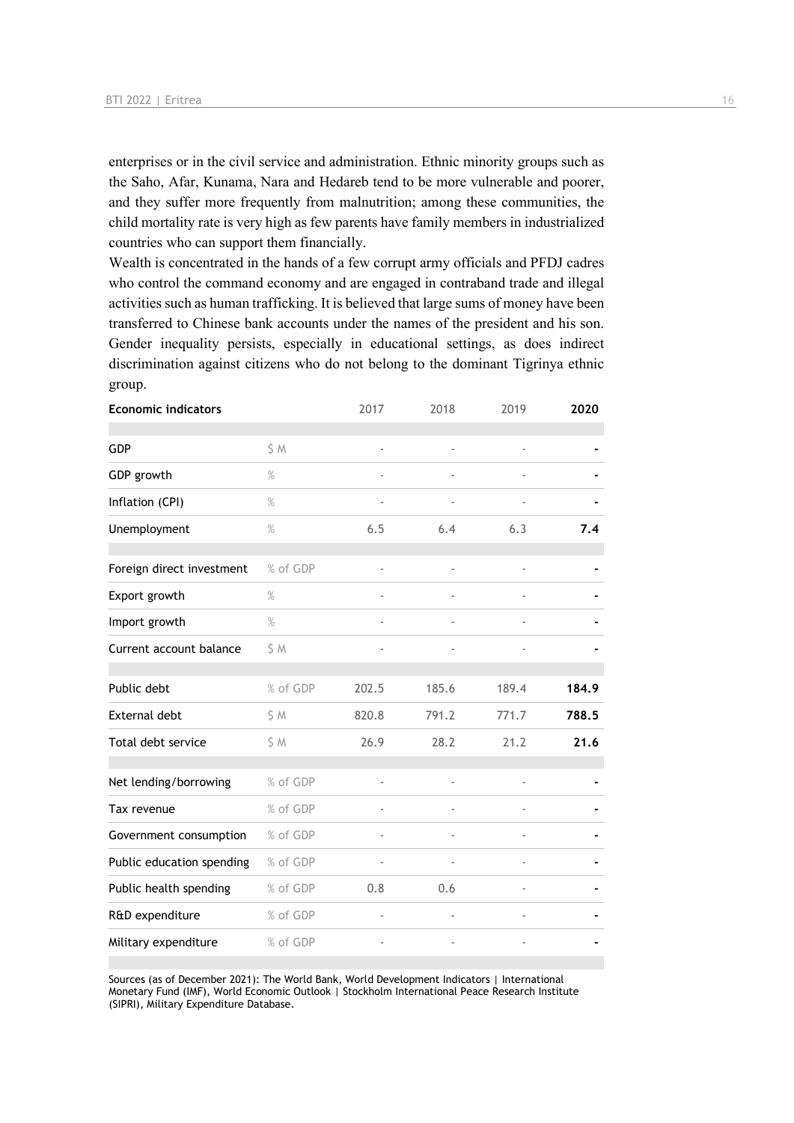enterprises or in the civil service and administration. Ethnic minority groups such as the Saho, Afar, Kunama, Nara and Hedareb tend to be more vulnerable and poorer, and they suffer more frequently from malnutrition; among these communities, the child mortality rate is very high as few parents have family members in industrialized countries who can support them financially.

Wealth is concentrated in the hands of a few corrupt army officials and PFDJ cadres who control the command economy and are engaged in contraband trade and illegal activities such as human trafficking. It is believed that large sums of money have been transferred to Chinese bank accounts under the names of the president and his son. Gender inequality persists, especially in educational settings, as does indirect discrimination against citizens who do not belong to the dominant Tigrinya ethnic group.

| <b>Economic indicators</b> |          | 2017                     | 2018           | 2019                     | 2020  |
|----------------------------|----------|--------------------------|----------------|--------------------------|-------|
| <b>GDP</b>                 | \$ M     | $\blacksquare$           | $\frac{1}{2}$  | $\overline{\phantom{a}}$ |       |
| GDP growth                 | $\%$     |                          |                |                          |       |
| Inflation (CPI)            | %        |                          |                |                          |       |
| Unemployment               | $\%$     | 6.5                      | 6.4            | 6.3                      | 7.4   |
| Foreign direct investment  | % of GDP | ÷,                       | $\frac{1}{2}$  | $\overline{a}$           |       |
| Export growth              | $\%$     | $\overline{\phantom{m}}$ | $\blacksquare$ |                          |       |
| Import growth              | %        |                          |                |                          |       |
| Current account balance    | \$ M     |                          |                |                          |       |
| Public debt                | % of GDP | 202.5                    | 185.6          | 189.4                    | 184.9 |
| External debt              | \$M      | 820.8                    | 791.2          | 771.7                    | 788.5 |
| Total debt service         | \$M      | 26.9                     | 28.2           | 21.2                     | 21.6  |
| Net lending/borrowing      | % of GDP | ÷,                       | ä,             |                          |       |
| Tax revenue                | % of GDP |                          |                |                          |       |
| Government consumption     | % of GDP |                          |                |                          |       |
| Public education spending  | % of GDP | ÷,                       | $\blacksquare$ | $\overline{a}$           |       |
| Public health spending     | % of GDP | 0.8                      | 0.6            |                          |       |
| R&D expenditure            | % of GDP | ä,                       | ä,             |                          |       |
| Military expenditure       | % of GDP |                          |                |                          |       |

Sources (as of December 2021): The World Bank, World Development Indicators | International Monetary Fund (IMF), World Economic Outlook | Stockholm International Peace Research Institute (SIPRI), Military Expenditure Database.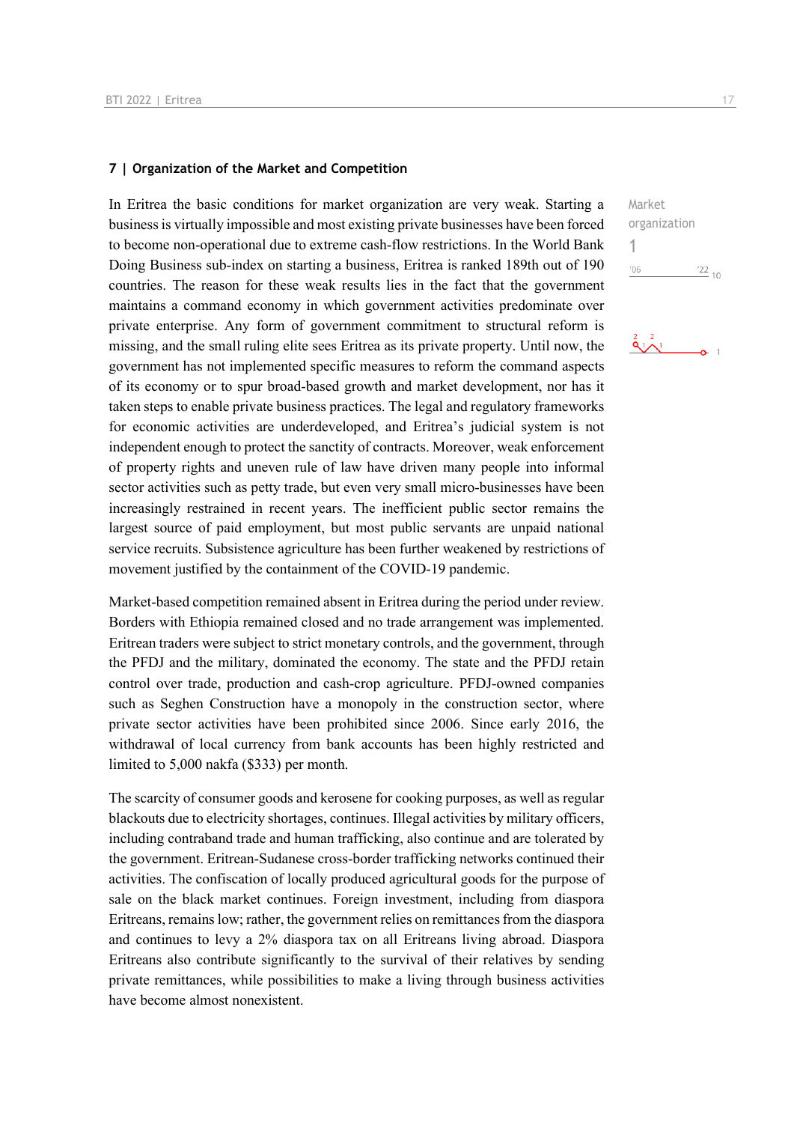#### **7 | Organization of the Market and Competition**

In Eritrea the basic conditions for market organization are very weak. Starting a business is virtually impossible and most existing private businesses have been forced to become non-operational due to extreme cash-flow restrictions. In the World Bank Doing Business sub-index on starting a business, Eritrea is ranked 189th out of 190 countries. The reason for these weak results lies in the fact that the government maintains a command economy in which government activities predominate over private enterprise. Any form of government commitment to structural reform is missing, and the small ruling elite sees Eritrea as its private property. Until now, the government has not implemented specific measures to reform the command aspects of its economy or to spur broad-based growth and market development, nor has it taken steps to enable private business practices. The legal and regulatory frameworks for economic activities are underdeveloped, and Eritrea's judicial system is not independent enough to protect the sanctity of contracts. Moreover, weak enforcement of property rights and uneven rule of law have driven many people into informal sector activities such as petty trade, but even very small micro-businesses have been increasingly restrained in recent years. The inefficient public sector remains the largest source of paid employment, but most public servants are unpaid national service recruits. Subsistence agriculture has been further weakened by restrictions of movement justified by the containment of the COVID-19 pandemic.

Market-based competition remained absent in Eritrea during the period under review. Borders with Ethiopia remained closed and no trade arrangement was implemented. Eritrean traders were subject to strict monetary controls, and the government, through the PFDJ and the military, dominated the economy. The state and the PFDJ retain control over trade, production and cash-crop agriculture. PFDJ-owned companies such as Seghen Construction have a monopoly in the construction sector, where private sector activities have been prohibited since 2006. Since early 2016, the withdrawal of local currency from bank accounts has been highly restricted and limited to 5,000 nakfa (\$333) per month.

The scarcity of consumer goods and kerosene for cooking purposes, as well as regular blackouts due to electricity shortages, continues. Illegal activities by military officers, including contraband trade and human trafficking, also continue and are tolerated by the government. Eritrean-Sudanese cross-border trafficking networks continued their activities. The confiscation of locally produced agricultural goods for the purpose of sale on the black market continues. Foreign investment, including from diaspora Eritreans, remains low; rather, the government relies on remittances from the diaspora and continues to levy a 2% diaspora tax on all Eritreans living abroad. Diaspora Eritreans also contribute significantly to the survival of their relatives by sending private remittances, while possibilities to make a living through business activities have become almost nonexistent.

 $\frac{22}{10}$ 

Market organization

 $\frac{2}{9}$   $\frac{2}{1}$ 

1 $^{\prime}06$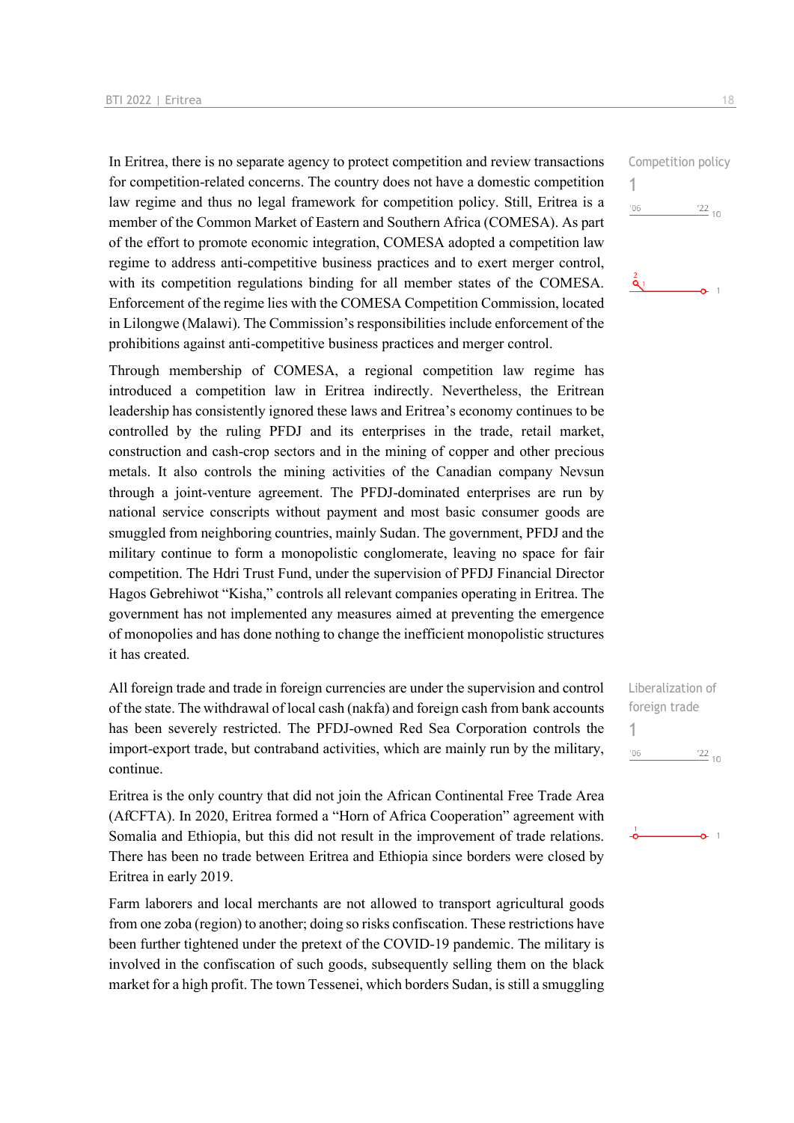In Eritrea, there is no separate agency to protect competition and review transactions for competition-related concerns. The country does not have a domestic competition law regime and thus no legal framework for competition policy. Still, Eritrea is a member of the Common Market of Eastern and Southern Africa (COMESA). As part of the effort to promote economic integration, COMESA adopted a competition law regime to address anti-competitive business practices and to exert merger control, with its competition regulations binding for all member states of the COMESA. Enforcement of the regime lies with the COMESA Competition Commission, located in Lilongwe (Malawi). The Commission's responsibilities include enforcement of the prohibitions against anti-competitive business practices and merger control.

Through membership of COMESA, a regional competition law regime has introduced a competition law in Eritrea indirectly. Nevertheless, the Eritrean leadership has consistently ignored these laws and Eritrea's economy continues to be controlled by the ruling PFDJ and its enterprises in the trade, retail market, construction and cash-crop sectors and in the mining of copper and other precious metals. It also controls the mining activities of the Canadian company Nevsun through a joint-venture agreement. The PFDJ-dominated enterprises are run by national service conscripts without payment and most basic consumer goods are smuggled from neighboring countries, mainly Sudan. The government, PFDJ and the military continue to form a monopolistic conglomerate, leaving no space for fair competition. The Hdri Trust Fund, under the supervision of PFDJ Financial Director Hagos Gebrehiwot "Kisha," controls all relevant companies operating in Eritrea. The government has not implemented any measures aimed at preventing the emergence of monopolies and has done nothing to change the inefficient monopolistic structures it has created.

All foreign trade and trade in foreign currencies are under the supervision and control of the state. The withdrawal of local cash (nakfa) and foreign cash from bank accounts has been severely restricted. The PFDJ-owned Red Sea Corporation controls the import-export trade, but contraband activities, which are mainly run by the military, continue.

Eritrea is the only country that did not join the African Continental Free Trade Area (AfCFTA). In 2020, Eritrea formed a "Horn of Africa Cooperation" agreement with Somalia and Ethiopia, but this did not result in the improvement of trade relations. There has been no trade between Eritrea and Ethiopia since borders were closed by Eritrea in early 2019.

Farm laborers and local merchants are not allowed to transport agricultural goods from one zoba (region) to another; doing so risks confiscation. These restrictions have been further tightened under the pretext of the COVID-19 pandemic. The military is involved in the confiscation of such goods, subsequently selling them on the black market for a high profit. The town Tessenei, which borders Sudan, is still a smuggling





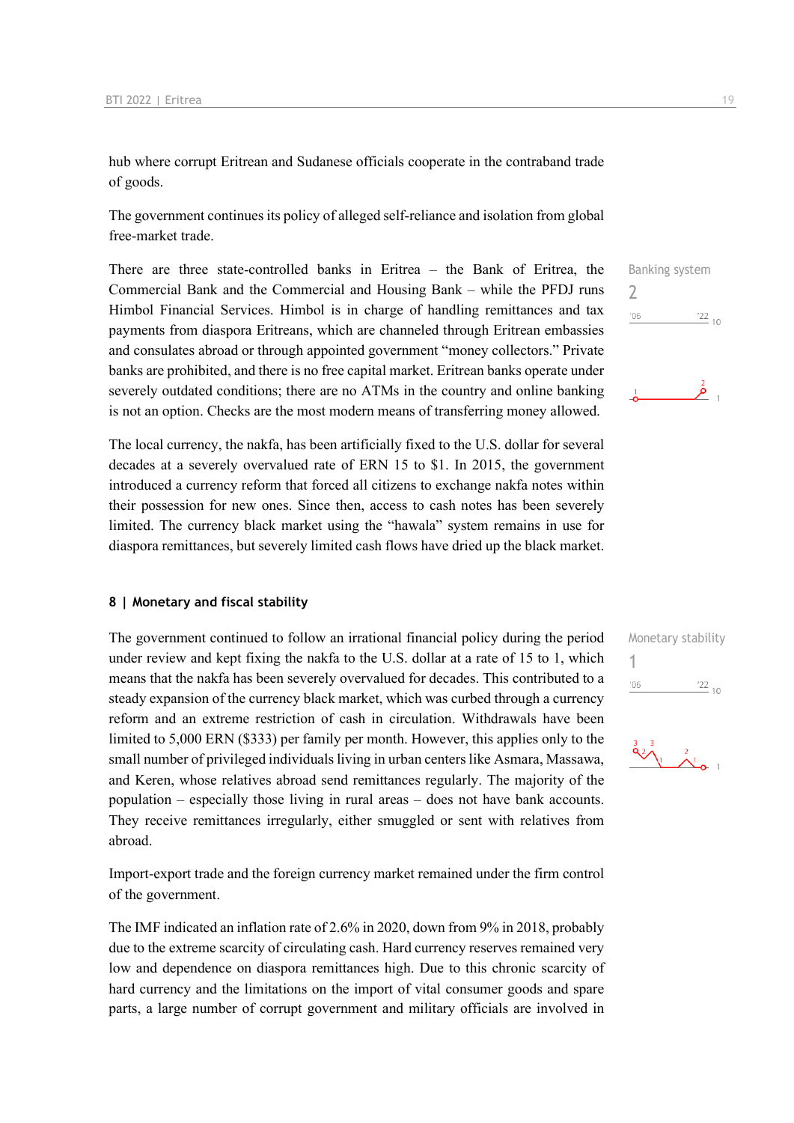hub where corrupt Eritrean and Sudanese officials cooperate in the contraband trade of goods.

The government continues its policy of alleged self-reliance and isolation from global free-market trade.

There are three state-controlled banks in Eritrea – the Bank of Eritrea, the Commercial Bank and the Commercial and Housing Bank – while the PFDJ runs Himbol Financial Services. Himbol is in charge of handling remittances and tax payments from diaspora Eritreans, which are channeled through Eritrean embassies and consulates abroad or through appointed government "money collectors." Private banks are prohibited, and there is no free capital market. Eritrean banks operate under severely outdated conditions; there are no ATMs in the country and online banking is not an option. Checks are the most modern means of transferring money allowed.

The local currency, the nakfa, has been artificially fixed to the U.S. dollar for several decades at a severely overvalued rate of ERN 15 to \$1. In 2015, the government introduced a currency reform that forced all citizens to exchange nakfa notes within their possession for new ones. Since then, access to cash notes has been severely limited. The currency black market using the "hawala" system remains in use for diaspora remittances, but severely limited cash flows have dried up the black market.

#### **8 | Monetary and fiscal stability**

The government continued to follow an irrational financial policy during the period under review and kept fixing the nakfa to the U.S. dollar at a rate of 15 to 1, which means that the nakfa has been severely overvalued for decades. This contributed to a steady expansion of the currency black market, which was curbed through a currency reform and an extreme restriction of cash in circulation. Withdrawals have been limited to 5,000 ERN (\$333) per family per month. However, this applies only to the small number of privileged individuals living in urban centers like Asmara, Massawa, and Keren, whose relatives abroad send remittances regularly. The majority of the population – especially those living in rural areas – does not have bank accounts. They receive remittances irregularly, either smuggled or sent with relatives from abroad.

Import-export trade and the foreign currency market remained under the firm control of the government.

The IMF indicated an inflation rate of 2.6% in 2020, down from 9% in 2018, probably due to the extreme scarcity of circulating cash. Hard currency reserves remained very low and dependence on diaspora remittances high. Due to this chronic scarcity of hard currency and the limitations on the import of vital consumer goods and spare parts, a large number of corrupt government and military officials are involved in

 $\overline{\phantom{0}}$  $'06$  $\frac{22}{10}$ 

Banking system





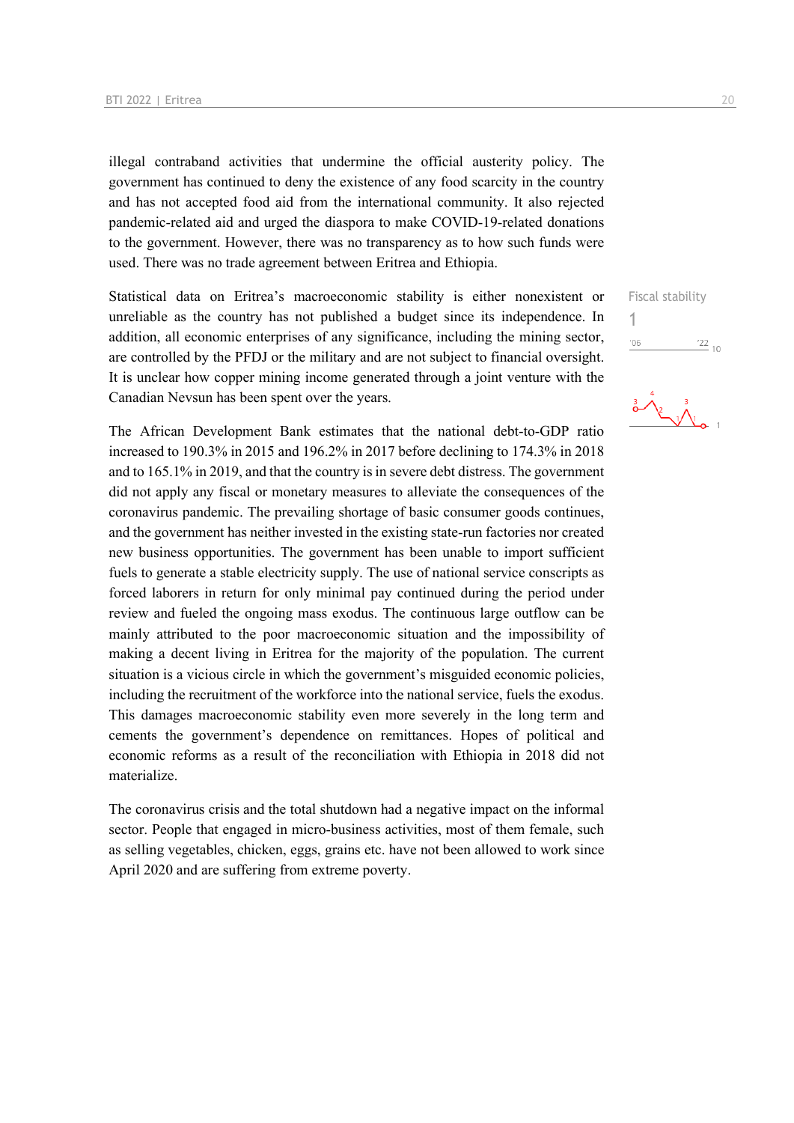illegal contraband activities that undermine the official austerity policy. The government has continued to deny the existence of any food scarcity in the country and has not accepted food aid from the international community. It also rejected pandemic-related aid and urged the diaspora to make COVID-19-related donations to the government. However, there was no transparency as to how such funds were used. There was no trade agreement between Eritrea and Ethiopia.

Statistical data on Eritrea's macroeconomic stability is either nonexistent or unreliable as the country has not published a budget since its independence. In addition, all economic enterprises of any significance, including the mining sector, are controlled by the PFDJ or the military and are not subject to financial oversight. It is unclear how copper mining income generated through a joint venture with the Canadian Nevsun has been spent over the years.

The African Development Bank estimates that the national debt-to-GDP ratio increased to 190.3% in 2015 and 196.2% in 2017 before declining to 174.3% in 2018 and to 165.1% in 2019, and that the country is in severe debt distress. The government did not apply any fiscal or monetary measures to alleviate the consequences of the coronavirus pandemic. The prevailing shortage of basic consumer goods continues, and the government has neither invested in the existing state-run factories nor created new business opportunities. The government has been unable to import sufficient fuels to generate a stable electricity supply. The use of national service conscripts as forced laborers in return for only minimal pay continued during the period under review and fueled the ongoing mass exodus. The continuous large outflow can be mainly attributed to the poor macroeconomic situation and the impossibility of making a decent living in Eritrea for the majority of the population. The current situation is a vicious circle in which the government's misguided economic policies, including the recruitment of the workforce into the national service, fuels the exodus. This damages macroeconomic stability even more severely in the long term and cements the government's dependence on remittances. Hopes of political and economic reforms as a result of the reconciliation with Ethiopia in 2018 did not materialize.

The coronavirus crisis and the total shutdown had a negative impact on the informal sector. People that engaged in micro-business activities, most of them female, such as selling vegetables, chicken, eggs, grains etc. have not been allowed to work since April 2020 and are suffering from extreme poverty.

Fiscal stability

1 $06'$  $\frac{22}{10}$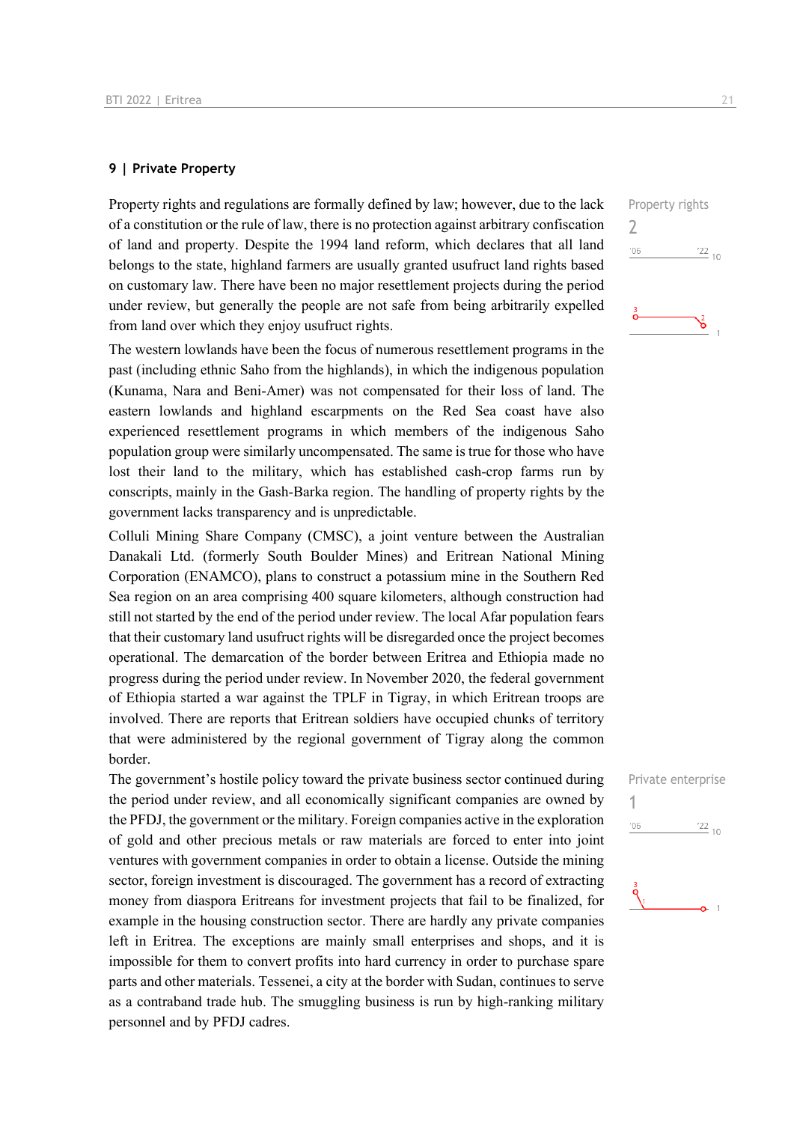#### **9 | Private Property**

Property rights and regulations are formally defined by law; however, due to the lack of a constitution or the rule of law, there is no protection against arbitrary confiscation of land and property. Despite the 1994 land reform, which declares that all land belongs to the state, highland farmers are usually granted usufruct land rights based on customary law. There have been no major resettlement projects during the period under review, but generally the people are not safe from being arbitrarily expelled from land over which they enjoy usufruct rights.

The western lowlands have been the focus of numerous resettlement programs in the past (including ethnic Saho from the highlands), in which the indigenous population (Kunama, Nara and Beni-Amer) was not compensated for their loss of land. The eastern lowlands and highland escarpments on the Red Sea coast have also experienced resettlement programs in which members of the indigenous Saho population group were similarly uncompensated. The same is true for those who have lost their land to the military, which has established cash-crop farms run by conscripts, mainly in the Gash-Barka region. The handling of property rights by the government lacks transparency and is unpredictable.

Colluli Mining Share Company (CMSC), a joint venture between the Australian Danakali Ltd. (formerly South Boulder Mines) and Eritrean National Mining Corporation (ENAMCO), plans to construct a potassium mine in the Southern Red Sea region on an area comprising 400 square kilometers, although construction had still not started by the end of the period under review. The local Afar population fears that their customary land usufruct rights will be disregarded once the project becomes operational. The demarcation of the border between Eritrea and Ethiopia made no progress during the period under review. In November 2020, the federal government of Ethiopia started a war against the TPLF in Tigray, in which Eritrean troops are involved. There are reports that Eritrean soldiers have occupied chunks of territory that were administered by the regional government of Tigray along the common border.

The government's hostile policy toward the private business sector continued during the period under review, and all economically significant companies are owned by the PFDJ, the government or the military. Foreign companies active in the exploration of gold and other precious metals or raw materials are forced to enter into joint ventures with government companies in order to obtain a license. Outside the mining sector, foreign investment is discouraged. The government has a record of extracting money from diaspora Eritreans for investment projects that fail to be finalized, for example in the housing construction sector. There are hardly any private companies left in Eritrea. The exceptions are mainly small enterprises and shops, and it is impossible for them to convert profits into hard currency in order to purchase spare parts and other materials. Tessenei, a city at the border with Sudan, continues to serve as a contraband trade hub. The smuggling business is run by high-ranking military personnel and by PFDJ cadres.

Property rights 2  $^{\prime}06$  $\frac{22}{10}$ ۱ĥ

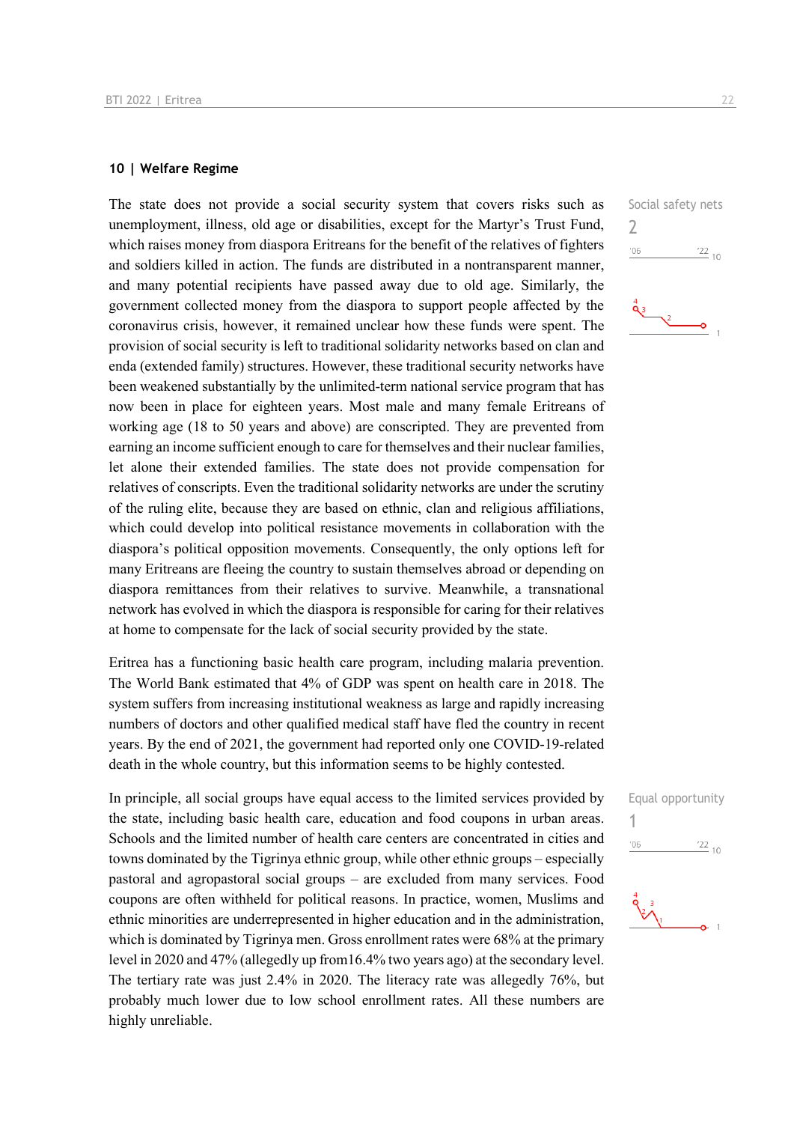#### **10 | Welfare Regime**

The state does not provide a social security system that covers risks such as unemployment, illness, old age or disabilities, except for the Martyr's Trust Fund, which raises money from diaspora Eritreans for the benefit of the relatives of fighters and soldiers killed in action. The funds are distributed in a nontransparent manner, and many potential recipients have passed away due to old age. Similarly, the government collected money from the diaspora to support people affected by the coronavirus crisis, however, it remained unclear how these funds were spent. The provision of social security is left to traditional solidarity networks based on clan and enda (extended family) structures. However, these traditional security networks have been weakened substantially by the unlimited-term national service program that has now been in place for eighteen years. Most male and many female Eritreans of working age (18 to 50 years and above) are conscripted. They are prevented from earning an income sufficient enough to care for themselves and their nuclear families, let alone their extended families. The state does not provide compensation for relatives of conscripts. Even the traditional solidarity networks are under the scrutiny of the ruling elite, because they are based on ethnic, clan and religious affiliations, which could develop into political resistance movements in collaboration with the diaspora's political opposition movements. Consequently, the only options left for many Eritreans are fleeing the country to sustain themselves abroad or depending on diaspora remittances from their relatives to survive. Meanwhile, a transnational network has evolved in which the diaspora is responsible for caring for their relatives at home to compensate for the lack of social security provided by the state.

Eritrea has a functioning basic health care program, including malaria prevention. The World Bank estimated that 4% of GDP was spent on health care in 2018. The system suffers from increasing institutional weakness as large and rapidly increasing numbers of doctors and other qualified medical staff have fled the country in recent years. By the end of 2021, the government had reported only one COVID-19-related death in the whole country, but this information seems to be highly contested.

In principle, all social groups have equal access to the limited services provided by the state, including basic health care, education and food coupons in urban areas. Schools and the limited number of health care centers are concentrated in cities and towns dominated by the Tigrinya ethnic group, while other ethnic groups – especially pastoral and agropastoral social groups – are excluded from many services. Food coupons are often withheld for political reasons. In practice, women, Muslims and ethnic minorities are underrepresented in higher education and in the administration, which is dominated by Tigrinya men. Gross enrollment rates were 68% at the primary level in 2020 and 47% (allegedly up from16.4% two years ago) at the secondary level. The tertiary rate was just 2.4% in 2020. The literacy rate was allegedly 76%, but probably much lower due to low school enrollment rates. All these numbers are highly unreliable.

Social safety nets 2  $^{\prime}06$  $\frac{22}{10}$ 

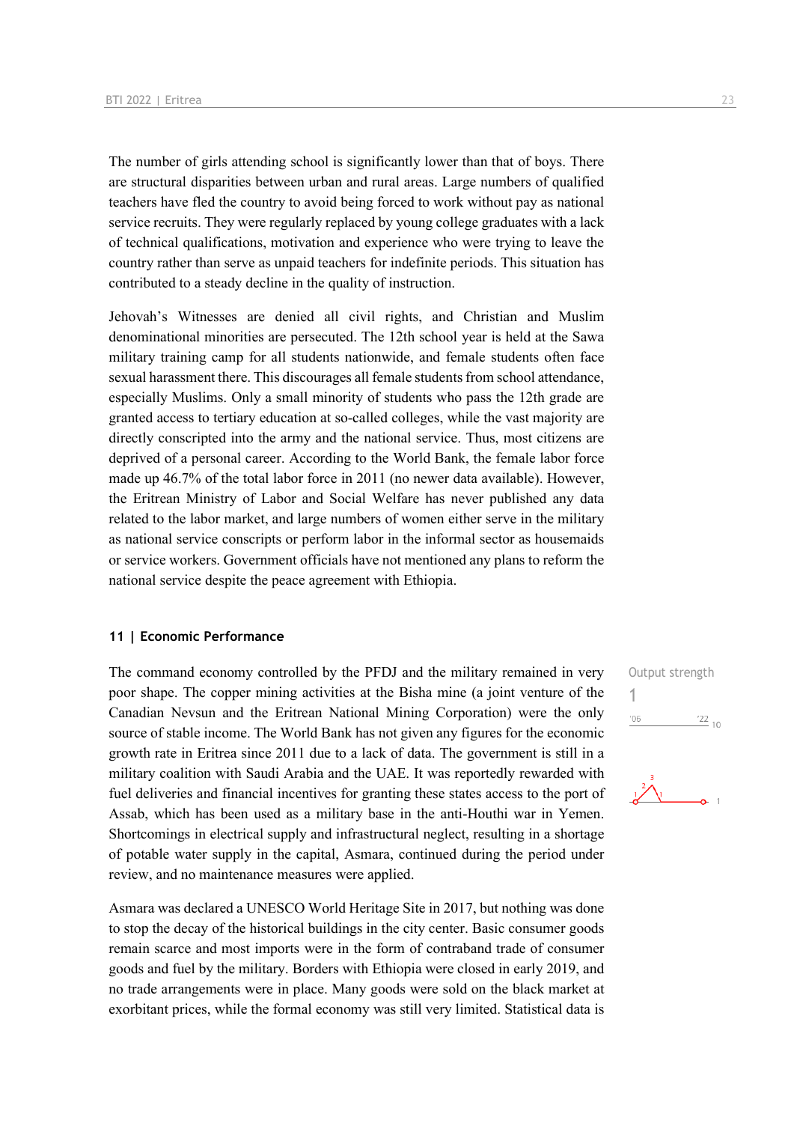The number of girls attending school is significantly lower than that of boys. There are structural disparities between urban and rural areas. Large numbers of qualified teachers have fled the country to avoid being forced to work without pay as national service recruits. They were regularly replaced by young college graduates with a lack of technical qualifications, motivation and experience who were trying to leave the country rather than serve as unpaid teachers for indefinite periods. This situation has contributed to a steady decline in the quality of instruction.

Jehovah's Witnesses are denied all civil rights, and Christian and Muslim denominational minorities are persecuted. The 12th school year is held at the Sawa military training camp for all students nationwide, and female students often face sexual harassment there. This discourages all female students from school attendance, especially Muslims. Only a small minority of students who pass the 12th grade are granted access to tertiary education at so-called colleges, while the vast majority are directly conscripted into the army and the national service. Thus, most citizens are deprived of a personal career. According to the World Bank, the female labor force made up 46.7% of the total labor force in 2011 (no newer data available). However, the Eritrean Ministry of Labor and Social Welfare has never published any data related to the labor market, and large numbers of women either serve in the military as national service conscripts or perform labor in the informal sector as housemaids or service workers. Government officials have not mentioned any plans to reform the national service despite the peace agreement with Ethiopia.

#### **11 | Economic Performance**

The command economy controlled by the PFDJ and the military remained in very poor shape. The copper mining activities at the Bisha mine (a joint venture of the Canadian Nevsun and the Eritrean National Mining Corporation) were the only source of stable income. The World Bank has not given any figures for the economic growth rate in Eritrea since 2011 due to a lack of data. The government is still in a military coalition with Saudi Arabia and the UAE. It was reportedly rewarded with fuel deliveries and financial incentives for granting these states access to the port of Assab, which has been used as a military base in the anti-Houthi war in Yemen. Shortcomings in electrical supply and infrastructural neglect, resulting in a shortage of potable water supply in the capital, Asmara, continued during the period under review, and no maintenance measures were applied.

Asmara was declared a UNESCO World Heritage Site in 2017, but nothing was done to stop the decay of the historical buildings in the city center. Basic consumer goods remain scarce and most imports were in the form of contraband trade of consumer goods and fuel by the military. Borders with Ethiopia were closed in early 2019, and no trade arrangements were in place. Many goods were sold on the black market at exorbitant prices, while the formal economy was still very limited. Statistical data is Output strength 1 $06'$  $\frac{22}{10}$ 

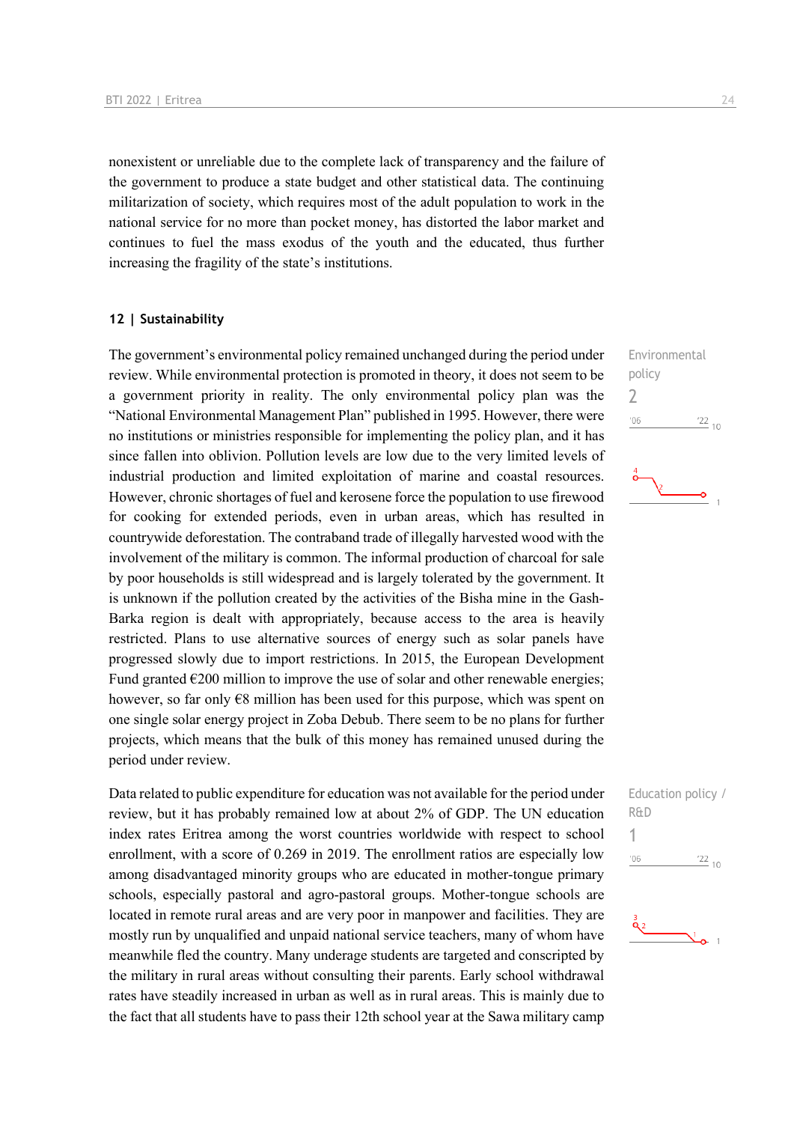nonexistent or unreliable due to the complete lack of transparency and the failure of the government to produce a state budget and other statistical data. The continuing militarization of society, which requires most of the adult population to work in the national service for no more than pocket money, has distorted the labor market and continues to fuel the mass exodus of the youth and the educated, thus further increasing the fragility of the state's institutions.

#### **12 | Sustainability**

The government's environmental policy remained unchanged during the period under review. While environmental protection is promoted in theory, it does not seem to be a government priority in reality. The only environmental policy plan was the "National Environmental Management Plan" published in 1995. However, there were no institutions or ministries responsible for implementing the policy plan, and it has since fallen into oblivion. Pollution levels are low due to the very limited levels of industrial production and limited exploitation of marine and coastal resources. However, chronic shortages of fuel and kerosene force the population to use firewood for cooking for extended periods, even in urban areas, which has resulted in countrywide deforestation. The contraband trade of illegally harvested wood with the involvement of the military is common. The informal production of charcoal for sale by poor households is still widespread and is largely tolerated by the government. It is unknown if the pollution created by the activities of the Bisha mine in the Gash-Barka region is dealt with appropriately, because access to the area is heavily restricted. Plans to use alternative sources of energy such as solar panels have progressed slowly due to import restrictions. In 2015, the European Development Fund granted  $\epsilon$ 200 million to improve the use of solar and other renewable energies; however, so far only  $\epsilon$ 8 million has been used for this purpose, which was spent on one single solar energy project in Zoba Debub. There seem to be no plans for further projects, which means that the bulk of this money has remained unused during the period under review.

Data related to public expenditure for education was not available for the period under review, but it has probably remained low at about 2% of GDP. The UN education index rates Eritrea among the worst countries worldwide with respect to school enrollment, with a score of 0.269 in 2019. The enrollment ratios are especially low among disadvantaged minority groups who are educated in mother-tongue primary schools, especially pastoral and agro-pastoral groups. Mother-tongue schools are located in remote rural areas and are very poor in manpower and facilities. They are mostly run by unqualified and unpaid national service teachers, many of whom have meanwhile fled the country. Many underage students are targeted and conscripted by the military in rural areas without consulting their parents. Early school withdrawal rates have steadily increased in urban as well as in rural areas. This is mainly due to the fact that all students have to pass their 12th school year at the Sawa military camp Environmental policy 2  $06'$  $\frac{22}{10}$ 

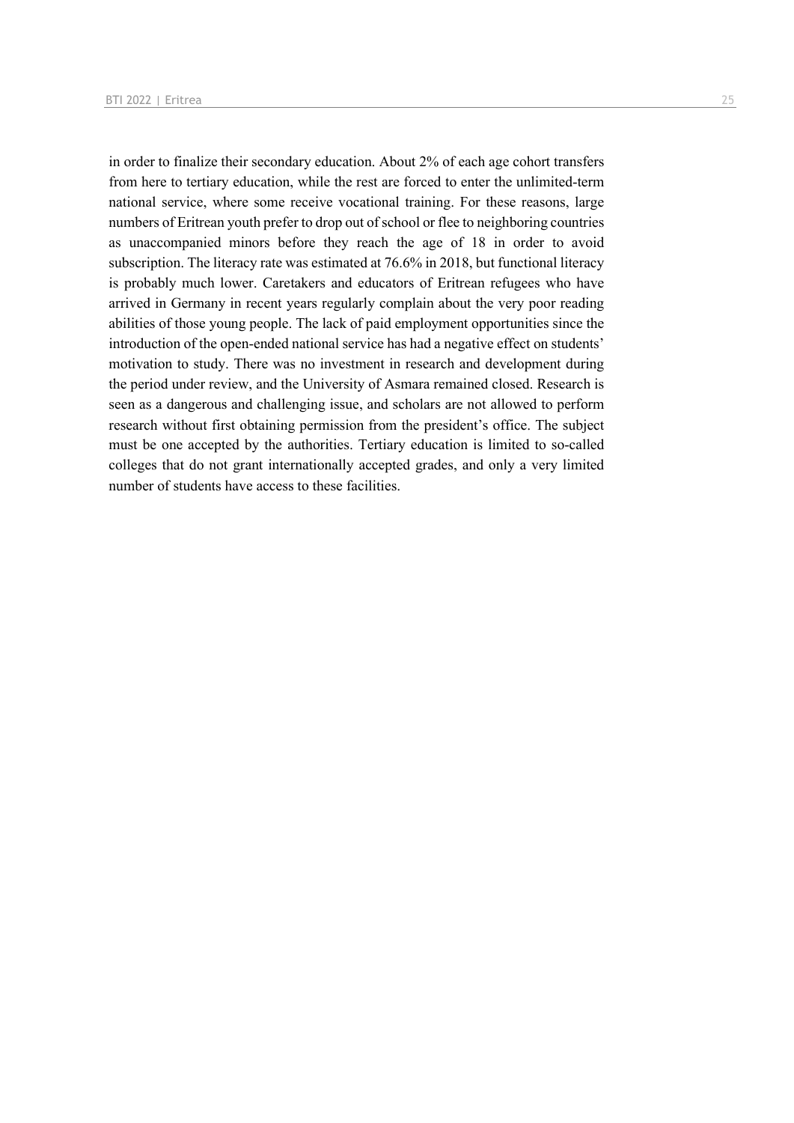in order to finalize their secondary education. About 2% of each age cohort transfers from here to tertiary education, while the rest are forced to enter the unlimited-term national service, where some receive vocational training. For these reasons, large numbers of Eritrean youth prefer to drop out of school or flee to neighboring countries as unaccompanied minors before they reach the age of 18 in order to avoid subscription. The literacy rate was estimated at 76.6% in 2018, but functional literacy is probably much lower. Caretakers and educators of Eritrean refugees who have arrived in Germany in recent years regularly complain about the very poor reading abilities of those young people. The lack of paid employment opportunities since the introduction of the open-ended national service has had a negative effect on students' motivation to study. There was no investment in research and development during the period under review, and the University of Asmara remained closed. Research is seen as a dangerous and challenging issue, and scholars are not allowed to perform research without first obtaining permission from the president's office. The subject must be one accepted by the authorities. Tertiary education is limited to so-called colleges that do not grant internationally accepted grades, and only a very limited number of students have access to these facilities.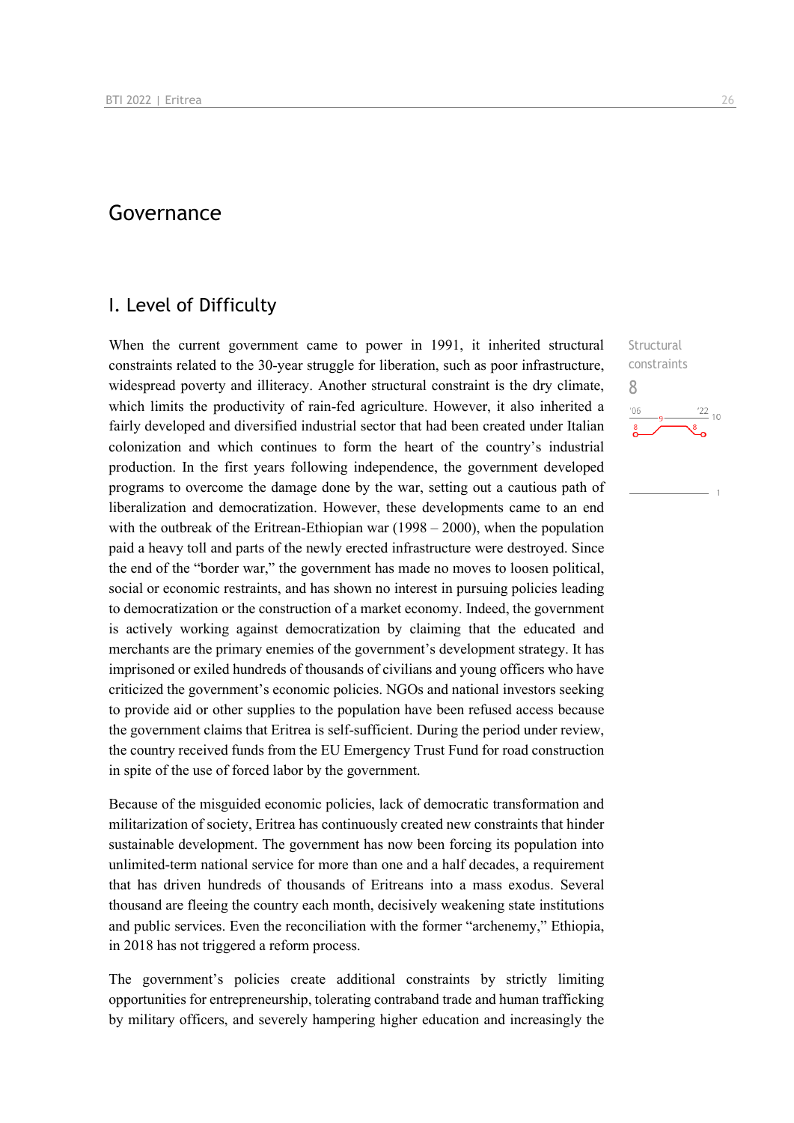### Governance

### I. Level of Difficulty

When the current government came to power in 1991, it inherited structural constraints related to the 30-year struggle for liberation, such as poor infrastructure, widespread poverty and illiteracy. Another structural constraint is the dry climate, which limits the productivity of rain-fed agriculture. However, it also inherited a fairly developed and diversified industrial sector that had been created under Italian colonization and which continues to form the heart of the country's industrial production. In the first years following independence, the government developed programs to overcome the damage done by the war, setting out a cautious path of liberalization and democratization. However, these developments came to an end with the outbreak of the Eritrean-Ethiopian war  $(1998 - 2000)$ , when the population paid a heavy toll and parts of the newly erected infrastructure were destroyed. Since the end of the "border war," the government has made no moves to loosen political, social or economic restraints, and has shown no interest in pursuing policies leading to democratization or the construction of a market economy. Indeed, the government is actively working against democratization by claiming that the educated and merchants are the primary enemies of the government's development strategy. It has imprisoned or exiled hundreds of thousands of civilians and young officers who have criticized the government's economic policies. NGOs and national investors seeking to provide aid or other supplies to the population have been refused access because the government claims that Eritrea is self-sufficient. During the period under review, the country received funds from the EU Emergency Trust Fund for road construction in spite of the use of forced labor by the government.

Because of the misguided economic policies, lack of democratic transformation and militarization of society, Eritrea has continuously created new constraints that hinder sustainable development. The government has now been forcing its population into unlimited-term national service for more than one and a half decades, a requirement that has driven hundreds of thousands of Eritreans into a mass exodus. Several thousand are fleeing the country each month, decisively weakening state institutions and public services. Even the reconciliation with the former "archenemy," Ethiopia, in 2018 has not triggered a reform process.

The government's policies create additional constraints by strictly limiting opportunities for entrepreneurship, tolerating contraband trade and human trafficking by military officers, and severely hampering higher education and increasingly the

**Structural** constraints 8 $\frac{22}{10}$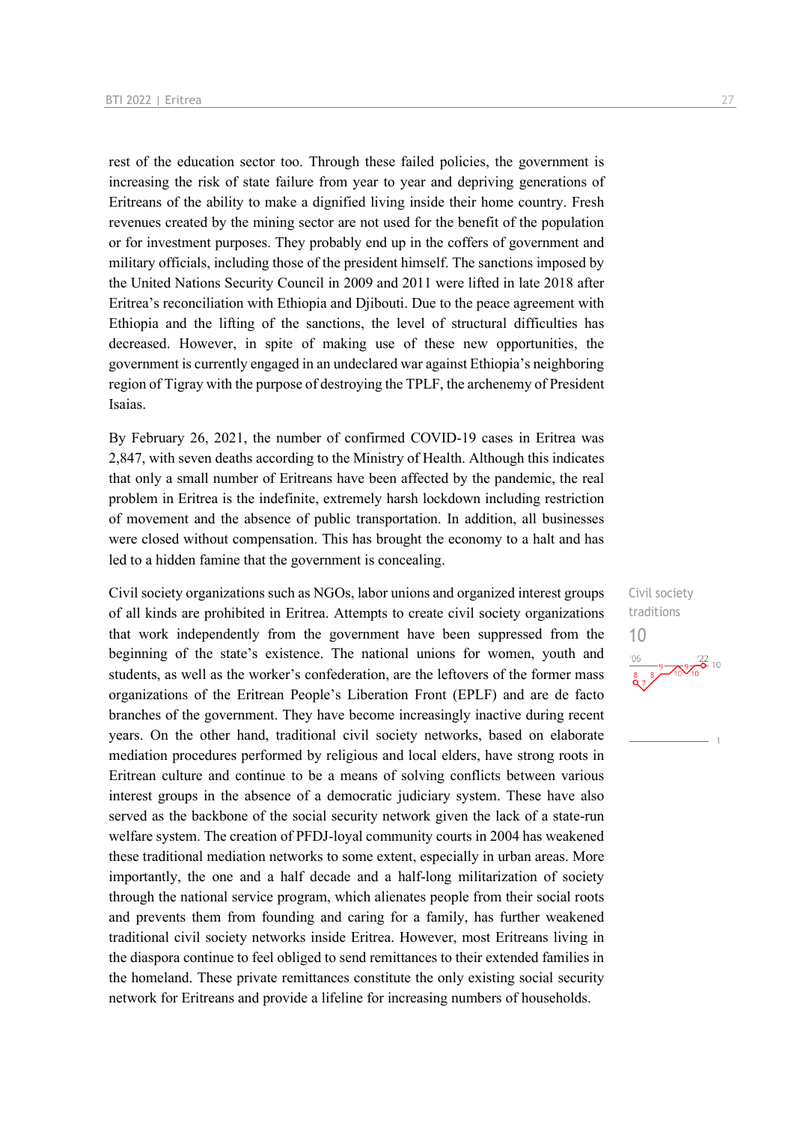rest of the education sector too. Through these failed policies, the government is increasing the risk of state failure from year to year and depriving generations of Eritreans of the ability to make a dignified living inside their home country. Fresh revenues created by the mining sector are not used for the benefit of the population or for investment purposes. They probably end up in the coffers of government and military officials, including those of the president himself. The sanctions imposed by the United Nations Security Council in 2009 and 2011 were lifted in late 2018 after Eritrea's reconciliation with Ethiopia and Djibouti. Due to the peace agreement with Ethiopia and the lifting of the sanctions, the level of structural difficulties has decreased. However, in spite of making use of these new opportunities, the government is currently engaged in an undeclared war against Ethiopia's neighboring region of Tigray with the purpose of destroying the TPLF, the archenemy of President Isaias.

By February 26, 2021, the number of confirmed COVID-19 cases in Eritrea was 2,847, with seven deaths according to the Ministry of Health. Although this indicates that only a small number of Eritreans have been affected by the pandemic, the real problem in Eritrea is the indefinite, extremely harsh lockdown including restriction of movement and the absence of public transportation. In addition, all businesses were closed without compensation. This has brought the economy to a halt and has led to a hidden famine that the government is concealing.

Civil society organizations such as NGOs, labor unions and organized interest groups of all kinds are prohibited in Eritrea. Attempts to create civil society organizations that work independently from the government have been suppressed from the beginning of the state's existence. The national unions for women, youth and students, as well as the worker's confederation, are the leftovers of the former mass organizations of the Eritrean People's Liberation Front (EPLF) and are de facto branches of the government. They have become increasingly inactive during recent years. On the other hand, traditional civil society networks, based on elaborate mediation procedures performed by religious and local elders, have strong roots in Eritrean culture and continue to be a means of solving conflicts between various interest groups in the absence of a democratic judiciary system. These have also served as the backbone of the social security network given the lack of a state-run welfare system. The creation of PFDJ-loyal community courts in 2004 has weakened these traditional mediation networks to some extent, especially in urban areas. More importantly, the one and a half decade and a half-long militarization of society through the national service program, which alienates people from their social roots and prevents them from founding and caring for a family, has further weakened traditional civil society networks inside Eritrea. However, most Eritreans living in the diaspora continue to feel obliged to send remittances to their extended families in the homeland. These private remittances constitute the only existing social security network for Eritreans and provide a lifeline for increasing numbers of households.

Civil society traditions 10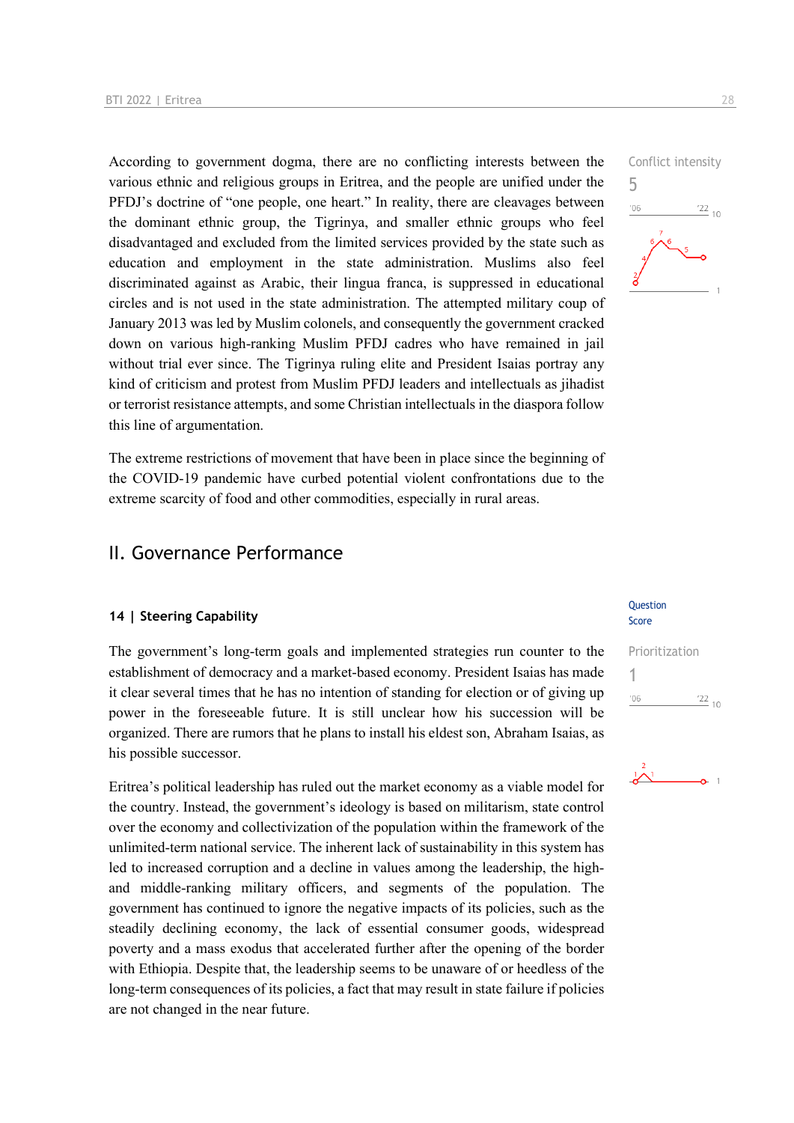According to government dogma, there are no conflicting interests between the various ethnic and religious groups in Eritrea, and the people are unified under the PFDJ's doctrine of "one people, one heart." In reality, there are cleavages between the dominant ethnic group, the Tigrinya, and smaller ethnic groups who feel disadvantaged and excluded from the limited services provided by the state such as education and employment in the state administration. Muslims also feel discriminated against as Arabic, their lingua franca, is suppressed in educational circles and is not used in the state administration. The attempted military coup of January 2013 was led by Muslim colonels, and consequently the government cracked down on various high-ranking Muslim PFDJ cadres who have remained in jail without trial ever since. The Tigrinya ruling elite and President Isaias portray any kind of criticism and protest from Muslim PFDJ leaders and intellectuals as jihadist or terrorist resistance attempts, and some Christian intellectuals in the diaspora follow this line of argumentation.

The extreme restrictions of movement that have been in place since the beginning of the COVID-19 pandemic have curbed potential violent confrontations due to the extreme scarcity of food and other commodities, especially in rural areas.

### II. Governance Performance

#### **14 | Steering Capability**

The government's long-term goals and implemented strategies run counter to the establishment of democracy and a market-based economy. President Isaias has made it clear several times that he has no intention of standing for election or of giving up power in the foreseeable future. It is still unclear how his succession will be organized. There are rumors that he plans to install his eldest son, Abraham Isaias, as his possible successor.

Eritrea's political leadership has ruled out the market economy as a viable model for the country. Instead, the government's ideology is based on militarism, state control over the economy and collectivization of the population within the framework of the unlimited-term national service. The inherent lack of sustainability in this system has led to increased corruption and a decline in values among the leadership, the highand middle-ranking military officers, and segments of the population. The government has continued to ignore the negative impacts of its policies, such as the steadily declining economy, the lack of essential consumer goods, widespread poverty and a mass exodus that accelerated further after the opening of the border with Ethiopia. Despite that, the leadership seems to be unaware of or heedless of the long-term consequences of its policies, a fact that may result in state failure if policies are not changed in the near future.



#### Question Score

### Prioritization 1 $106$  $\frac{22}{10}$

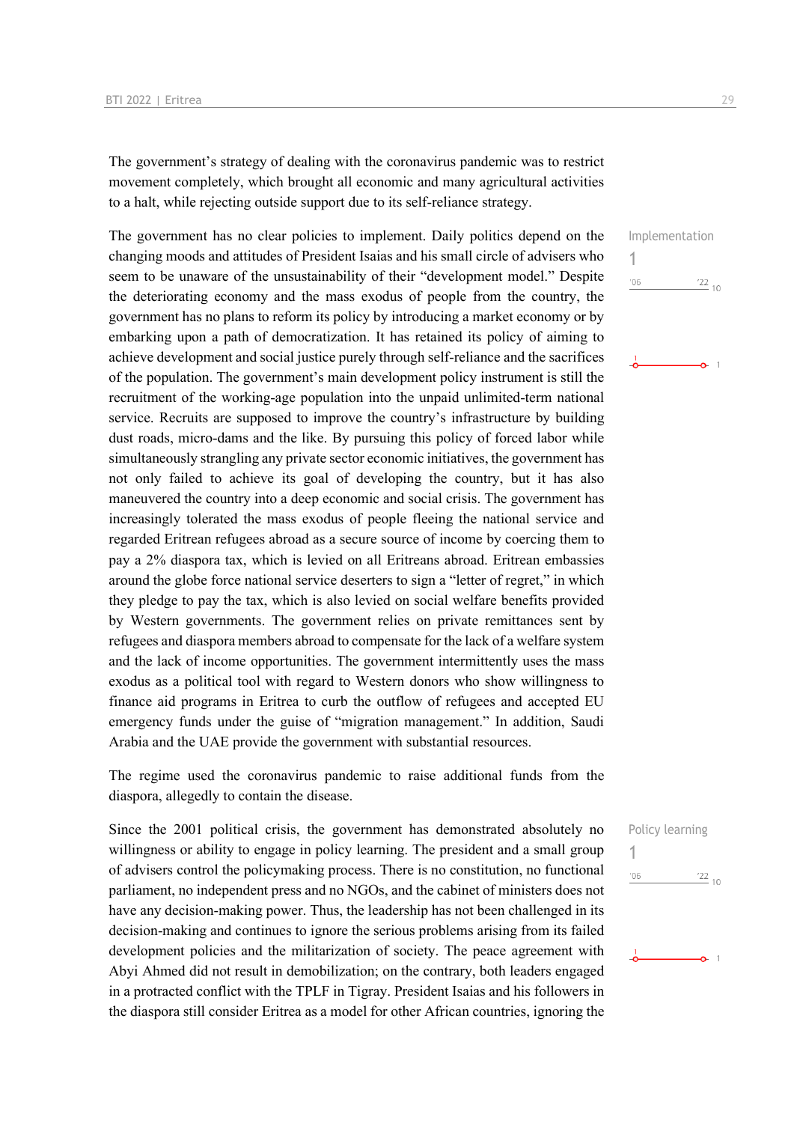The government's strategy of dealing with the coronavirus pandemic was to restrict movement completely, which brought all economic and many agricultural activities to a halt, while rejecting outside support due to its self-reliance strategy.

The government has no clear policies to implement. Daily politics depend on the changing moods and attitudes of President Isaias and his small circle of advisers who seem to be unaware of the unsustainability of their "development model." Despite the deteriorating economy and the mass exodus of people from the country, the government has no plans to reform its policy by introducing a market economy or by embarking upon a path of democratization. It has retained its policy of aiming to achieve development and social justice purely through self-reliance and the sacrifices of the population. The government's main development policy instrument is still the recruitment of the working-age population into the unpaid unlimited-term national service. Recruits are supposed to improve the country's infrastructure by building dust roads, micro-dams and the like. By pursuing this policy of forced labor while simultaneously strangling any private sector economic initiatives, the government has not only failed to achieve its goal of developing the country, but it has also maneuvered the country into a deep economic and social crisis. The government has increasingly tolerated the mass exodus of people fleeing the national service and regarded Eritrean refugees abroad as a secure source of income by coercing them to pay a 2% diaspora tax, which is levied on all Eritreans abroad. Eritrean embassies around the globe force national service deserters to sign a "letter of regret," in which they pledge to pay the tax, which is also levied on social welfare benefits provided by Western governments. The government relies on private remittances sent by refugees and diaspora members abroad to compensate for the lack of a welfare system and the lack of income opportunities. The government intermittently uses the mass exodus as a political tool with regard to Western donors who show willingness to finance aid programs in Eritrea to curb the outflow of refugees and accepted EU emergency funds under the guise of "migration management." In addition, Saudi Arabia and the UAE provide the government with substantial resources.

The regime used the coronavirus pandemic to raise additional funds from the diaspora, allegedly to contain the disease.

Since the 2001 political crisis, the government has demonstrated absolutely no willingness or ability to engage in policy learning. The president and a small group of advisers control the policymaking process. There is no constitution, no functional parliament, no independent press and no NGOs, and the cabinet of ministers does not have any decision-making power. Thus, the leadership has not been challenged in its decision-making and continues to ignore the serious problems arising from its failed development policies and the militarization of society. The peace agreement with Abyi Ahmed did not result in demobilization; on the contrary, both leaders engaged in a protracted conflict with the TPLF in Tigray. President Isaias and his followers in the diaspora still consider Eritrea as a model for other African countries, ignoring the



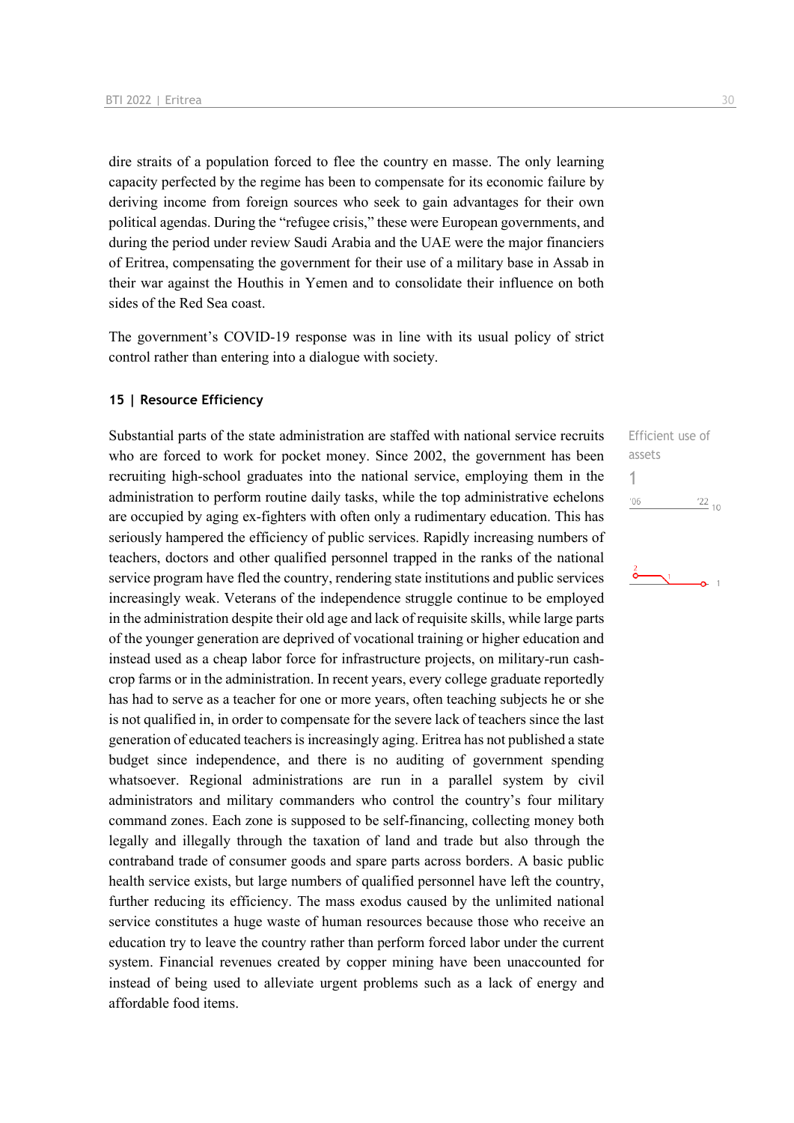dire straits of a population forced to flee the country en masse. The only learning capacity perfected by the regime has been to compensate for its economic failure by deriving income from foreign sources who seek to gain advantages for their own political agendas. During the "refugee crisis," these were European governments, and during the period under review Saudi Arabia and the UAE were the major financiers of Eritrea, compensating the government for their use of a military base in Assab in their war against the Houthis in Yemen and to consolidate their influence on both sides of the Red Sea coast.

The government's COVID-19 response was in line with its usual policy of strict control rather than entering into a dialogue with society.

#### **15 | Resource Efficiency**

Substantial parts of the state administration are staffed with national service recruits who are forced to work for pocket money. Since 2002, the government has been recruiting high-school graduates into the national service, employing them in the administration to perform routine daily tasks, while the top administrative echelons are occupied by aging ex-fighters with often only a rudimentary education. This has seriously hampered the efficiency of public services. Rapidly increasing numbers of teachers, doctors and other qualified personnel trapped in the ranks of the national service program have fled the country, rendering state institutions and public services increasingly weak. Veterans of the independence struggle continue to be employed in the administration despite their old age and lack of requisite skills, while large parts of the younger generation are deprived of vocational training or higher education and instead used as a cheap labor force for infrastructure projects, on military-run cashcrop farms or in the administration. In recent years, every college graduate reportedly has had to serve as a teacher for one or more years, often teaching subjects he or she is not qualified in, in order to compensate for the severe lack of teachers since the last generation of educated teachers is increasingly aging. Eritrea has not published a state budget since independence, and there is no auditing of government spending whatsoever. Regional administrations are run in a parallel system by civil administrators and military commanders who control the country's four military command zones. Each zone is supposed to be self-financing, collecting money both legally and illegally through the taxation of land and trade but also through the contraband trade of consumer goods and spare parts across borders. A basic public health service exists, but large numbers of qualified personnel have left the country, further reducing its efficiency. The mass exodus caused by the unlimited national service constitutes a huge waste of human resources because those who receive an education try to leave the country rather than perform forced labor under the current system. Financial revenues created by copper mining have been unaccounted for instead of being used to alleviate urgent problems such as a lack of energy and affordable food items.

Efficient use of assets 1 $'06$  $\frac{22}{10}$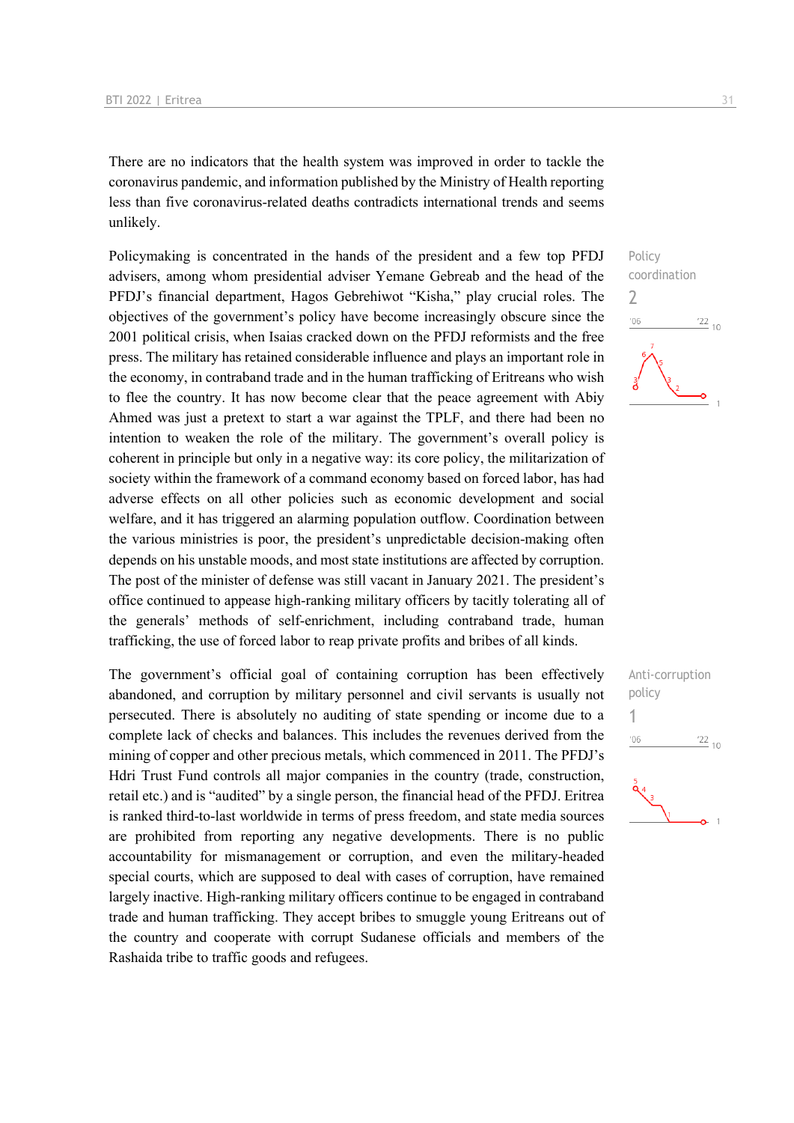There are no indicators that the health system was improved in order to tackle the coronavirus pandemic, and information published by the Ministry of Health reporting less than five coronavirus-related deaths contradicts international trends and seems unlikely.

Policymaking is concentrated in the hands of the president and a few top PFDJ advisers, among whom presidential adviser Yemane Gebreab and the head of the PFDJ's financial department, Hagos Gebrehiwot "Kisha," play crucial roles. The objectives of the government's policy have become increasingly obscure since the 2001 political crisis, when Isaias cracked down on the PFDJ reformists and the free press. The military has retained considerable influence and plays an important role in the economy, in contraband trade and in the human trafficking of Eritreans who wish to flee the country. It has now become clear that the peace agreement with Abiy Ahmed was just a pretext to start a war against the TPLF, and there had been no intention to weaken the role of the military. The government's overall policy is coherent in principle but only in a negative way: its core policy, the militarization of society within the framework of a command economy based on forced labor, has had adverse effects on all other policies such as economic development and social welfare, and it has triggered an alarming population outflow. Coordination between the various ministries is poor, the president's unpredictable decision-making often depends on his unstable moods, and most state institutions are affected by corruption. The post of the minister of defense was still vacant in January 2021. The president's office continued to appease high-ranking military officers by tacitly tolerating all of the generals' methods of self-enrichment, including contraband trade, human trafficking, the use of forced labor to reap private profits and bribes of all kinds.

The government's official goal of containing corruption has been effectively abandoned, and corruption by military personnel and civil servants is usually not persecuted. There is absolutely no auditing of state spending or income due to a complete lack of checks and balances. This includes the revenues derived from the mining of copper and other precious metals, which commenced in 2011. The PFDJ's Hdri Trust Fund controls all major companies in the country (trade, construction, retail etc.) and is "audited" by a single person, the financial head of the PFDJ. Eritrea is ranked third-to-last worldwide in terms of press freedom, and state media sources are prohibited from reporting any negative developments. There is no public accountability for mismanagement or corruption, and even the military-headed special courts, which are supposed to deal with cases of corruption, have remained largely inactive. High-ranking military officers continue to be engaged in contraband trade and human trafficking. They accept bribes to smuggle young Eritreans out of the country and cooperate with corrupt Sudanese officials and members of the Rashaida tribe to traffic goods and refugees.



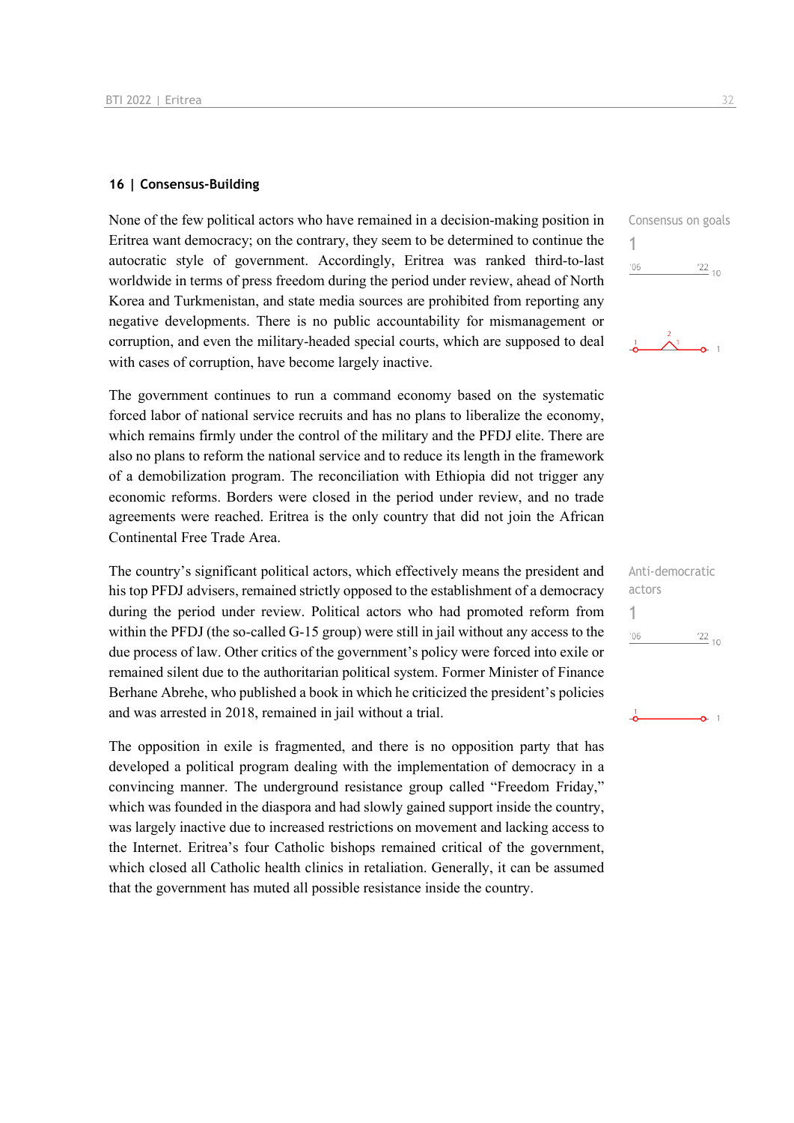#### **16 | Consensus-Building**

None of the few political actors who have remained in a decision-making position in Eritrea want democracy; on the contrary, they seem to be determined to continue the autocratic style of government. Accordingly, Eritrea was ranked third-to-last worldwide in terms of press freedom during the period under review, ahead of North Korea and Turkmenistan, and state media sources are prohibited from reporting any negative developments. There is no public accountability for mismanagement or corruption, and even the military-headed special courts, which are supposed to deal with cases of corruption, have become largely inactive.

The government continues to run a command economy based on the systematic forced labor of national service recruits and has no plans to liberalize the economy, which remains firmly under the control of the military and the PFDJ elite. There are also no plans to reform the national service and to reduce its length in the framework of a demobilization program. The reconciliation with Ethiopia did not trigger any economic reforms. Borders were closed in the period under review, and no trade agreements were reached. Eritrea is the only country that did not join the African Continental Free Trade Area.

The country's significant political actors, which effectively means the president and his top PFDJ advisers, remained strictly opposed to the establishment of a democracy during the period under review. Political actors who had promoted reform from within the PFDJ (the so-called G-15 group) were still in jail without any access to the due process of law. Other critics of the government's policy were forced into exile or remained silent due to the authoritarian political system. Former Minister of Finance Berhane Abrehe, who published a book in which he criticized the president's policies and was arrested in 2018, remained in jail without a trial.

The opposition in exile is fragmented, and there is no opposition party that has developed a political program dealing with the implementation of democracy in a convincing manner. The underground resistance group called "Freedom Friday," which was founded in the diaspora and had slowly gained support inside the country, was largely inactive due to increased restrictions on movement and lacking access to the Internet. Eritrea's four Catholic bishops remained critical of the government, which closed all Catholic health clinics in retaliation. Generally, it can be assumed that the government has muted all possible resistance inside the country.



| Anti-democratic |                 |
|-----------------|-----------------|
| actors          |                 |
|                 |                 |
| '06             | $\frac{22}{10}$ |
|                 |                 |
|                 |                 |
|                 |                 |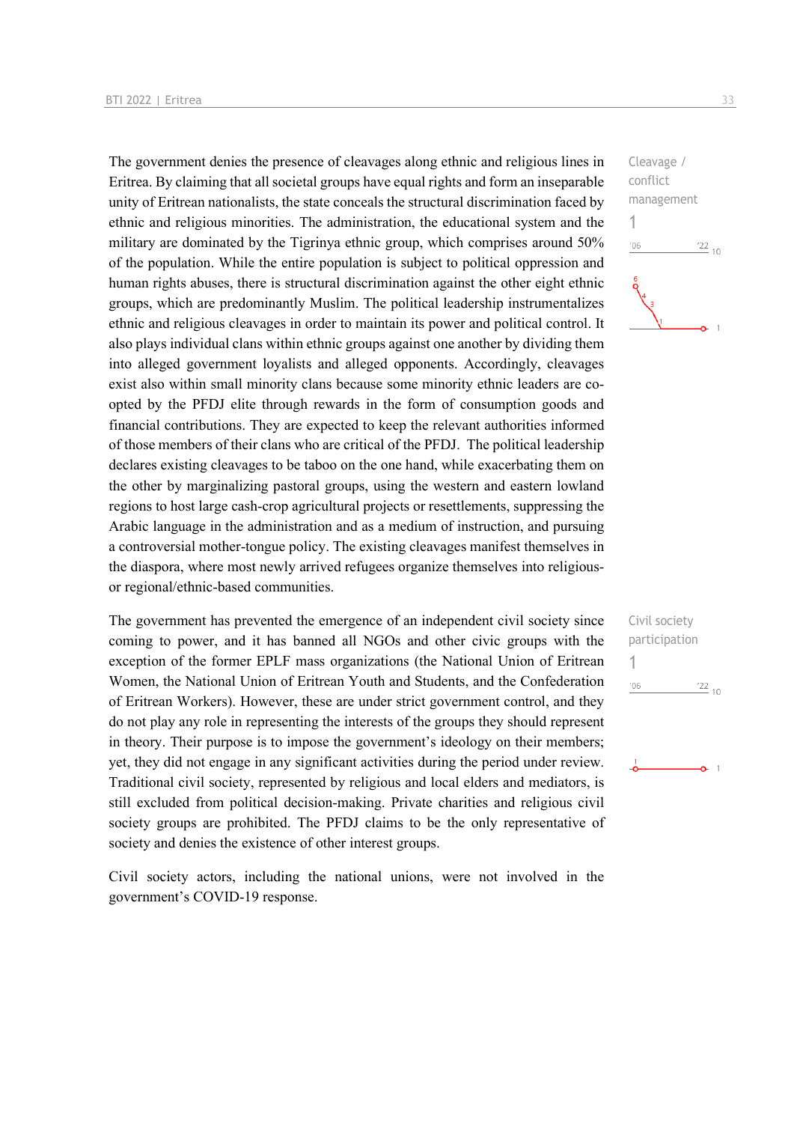The government denies the presence of cleavages along ethnic and religious lines in Eritrea. By claiming that all societal groups have equal rights and form an inseparable unity of Eritrean nationalists, the state conceals the structural discrimination faced by ethnic and religious minorities. The administration, the educational system and the military are dominated by the Tigrinya ethnic group, which comprises around 50% of the population. While the entire population is subject to political oppression and human rights abuses, there is structural discrimination against the other eight ethnic groups, which are predominantly Muslim. The political leadership instrumentalizes ethnic and religious cleavages in order to maintain its power and political control. It also plays individual clans within ethnic groups against one another by dividing them into alleged government loyalists and alleged opponents. Accordingly, cleavages exist also within small minority clans because some minority ethnic leaders are coopted by the PFDJ elite through rewards in the form of consumption goods and financial contributions. They are expected to keep the relevant authorities informed of those members of their clans who are critical of the PFDJ. The political leadership declares existing cleavages to be taboo on the one hand, while exacerbating them on the other by marginalizing pastoral groups, using the western and eastern lowland regions to host large cash-crop agricultural projects or resettlements, suppressing the Arabic language in the administration and as a medium of instruction, and pursuing a controversial mother-tongue policy. The existing cleavages manifest themselves in the diaspora, where most newly arrived refugees organize themselves into religiousor regional/ethnic-based communities.

The government has prevented the emergence of an independent civil society since coming to power, and it has banned all NGOs and other civic groups with the exception of the former EPLF mass organizations (the National Union of Eritrean Women, the National Union of Eritrean Youth and Students, and the Confederation of Eritrean Workers). However, these are under strict government control, and they do not play any role in representing the interests of the groups they should represent in theory. Their purpose is to impose the government's ideology on their members; yet, they did not engage in any significant activities during the period under review. Traditional civil society, represented by religious and local elders and mediators, is still excluded from political decision-making. Private charities and religious civil society groups are prohibited. The PFDJ claims to be the only representative of society and denies the existence of other interest groups.

Civil society actors, including the national unions, were not involved in the government's COVID-19 response.



| Civil society      |                 |  |
|--------------------|-----------------|--|
| participation<br>1 |                 |  |
| '06                | $\frac{22}{10}$ |  |
|                    |                 |  |
|                    |                 |  |
|                    |                 |  |
|                    |                 |  |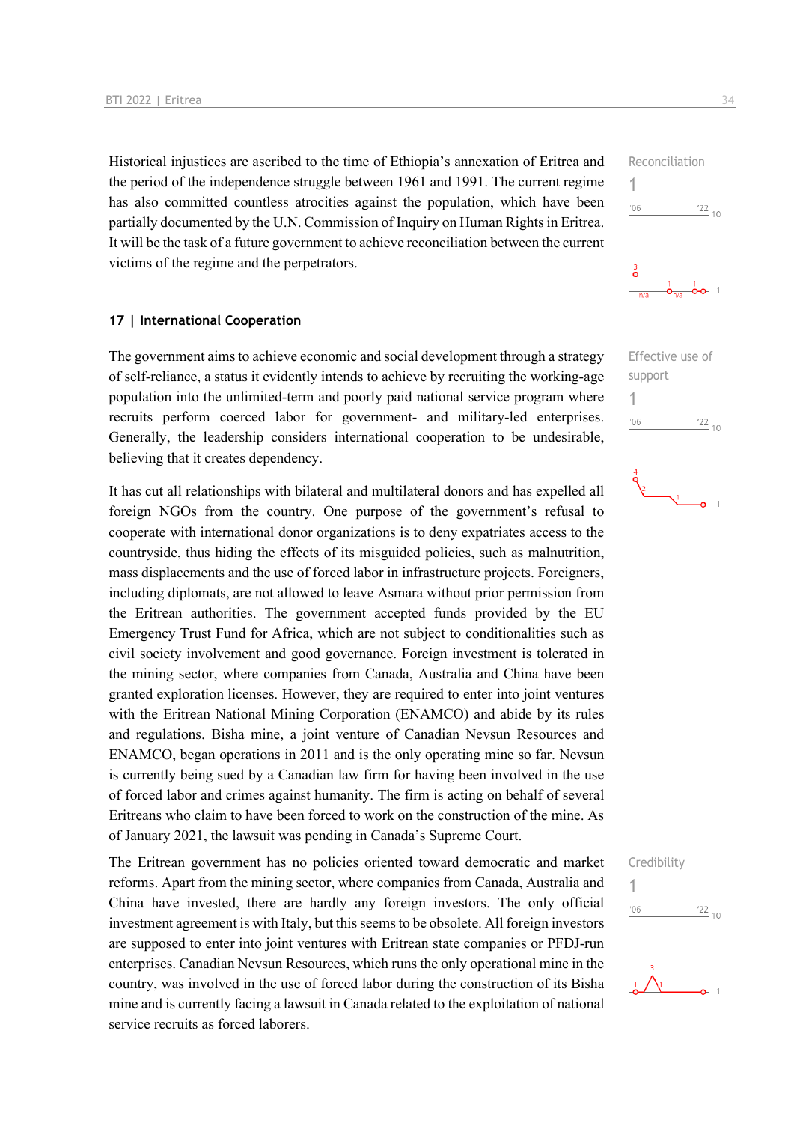Historical injustices are ascribed to the time of Ethiopia's annexation of Eritrea and the period of the independence struggle between 1961 and 1991. The current regime has also committed countless atrocities against the population, which have been partially documented by the U.N. Commission of Inquiry on Human Rights in Eritrea. It will be the task of a future government to achieve reconciliation between the current victims of the regime and the perpetrators.

#### **17 | International Cooperation**

The government aims to achieve economic and social development through a strategy of self-reliance, a status it evidently intends to achieve by recruiting the working-age population into the unlimited-term and poorly paid national service program where recruits perform coerced labor for government- and military-led enterprises. Generally, the leadership considers international cooperation to be undesirable, believing that it creates dependency.

It has cut all relationships with bilateral and multilateral donors and has expelled all foreign NGOs from the country. One purpose of the government's refusal to cooperate with international donor organizations is to deny expatriates access to the countryside, thus hiding the effects of its misguided policies, such as malnutrition, mass displacements and the use of forced labor in infrastructure projects. Foreigners, including diplomats, are not allowed to leave Asmara without prior permission from the Eritrean authorities. The government accepted funds provided by the EU Emergency Trust Fund for Africa, which are not subject to conditionalities such as civil society involvement and good governance. Foreign investment is tolerated in the mining sector, where companies from Canada, Australia and China have been granted exploration licenses. However, they are required to enter into joint ventures with the Eritrean National Mining Corporation (ENAMCO) and abide by its rules and regulations. Bisha mine, a joint venture of Canadian Nevsun Resources and ENAMCO, began operations in 2011 and is the only operating mine so far. Nevsun is currently being sued by a Canadian law firm for having been involved in the use of forced labor and crimes against humanity. The firm is acting on behalf of several Eritreans who claim to have been forced to work on the construction of the mine. As of January 2021, the lawsuit was pending in Canada's Supreme Court.

The Eritrean government has no policies oriented toward democratic and market reforms. Apart from the mining sector, where companies from Canada, Australia and China have invested, there are hardly any foreign investors. The only official investment agreement is with Italy, but this seems to be obsolete. All foreign investors are supposed to enter into joint ventures with Eritrean state companies or PFDJ-run enterprises. Canadian Nevsun Resources, which runs the only operational mine in the country, was involved in the use of forced labor during the construction of its Bisha mine and is currently facing a lawsuit in Canada related to the exploitation of national service recruits as forced laborers.



| Effective use of |            |  |
|------------------|------------|--|
| support          |            |  |
| 1                |            |  |
| '06              | $^{22}$ 10 |  |
|                  |            |  |







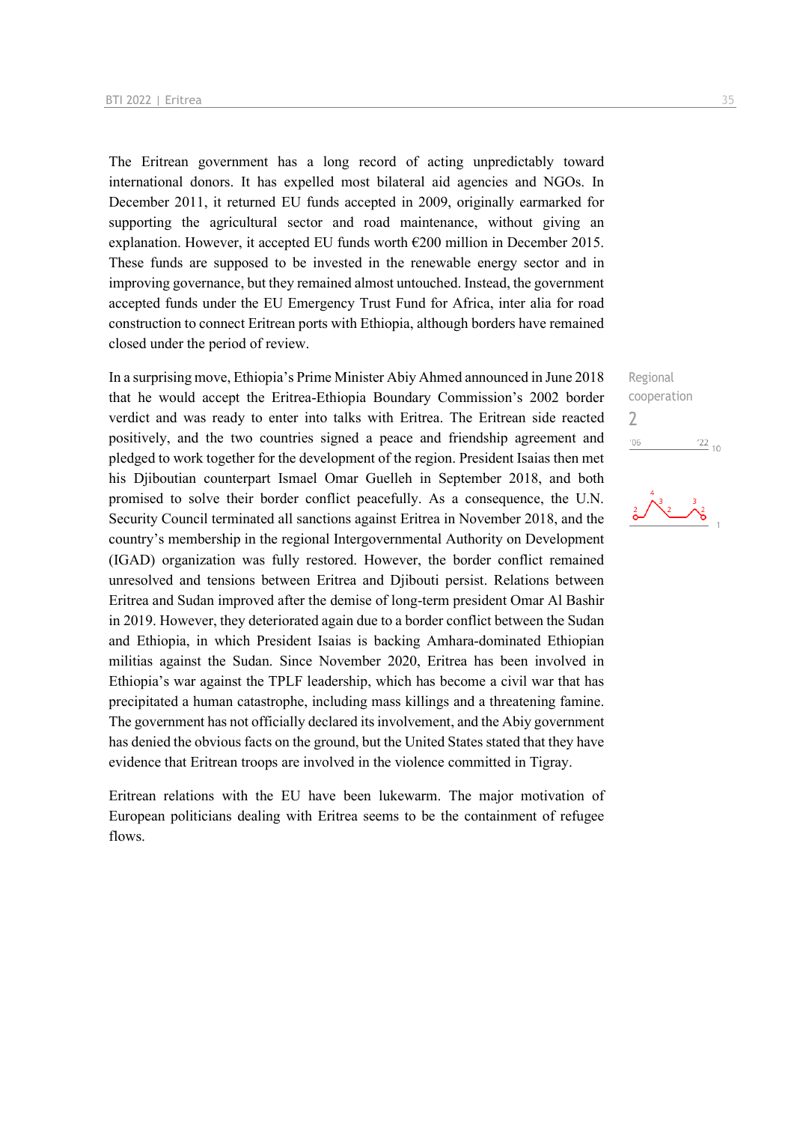The Eritrean government has a long record of acting unpredictably toward international donors. It has expelled most bilateral aid agencies and NGOs. In December 2011, it returned EU funds accepted in 2009, originally earmarked for supporting the agricultural sector and road maintenance, without giving an explanation. However, it accepted EU funds worth  $\epsilon$ 200 million in December 2015. These funds are supposed to be invested in the renewable energy sector and in improving governance, but they remained almost untouched. Instead, the government accepted funds under the EU Emergency Trust Fund for Africa, inter alia for road construction to connect Eritrean ports with Ethiopia, although borders have remained closed under the period of review.

In a surprising move, Ethiopia's Prime Minister Abiy Ahmed announced in June 2018 that he would accept the Eritrea-Ethiopia Boundary Commission's 2002 border verdict and was ready to enter into talks with Eritrea. The Eritrean side reacted positively, and the two countries signed a peace and friendship agreement and pledged to work together for the development of the region. President Isaias then met his Djiboutian counterpart Ismael Omar Guelleh in September 2018, and both promised to solve their border conflict peacefully. As a consequence, the U.N. Security Council terminated all sanctions against Eritrea in November 2018, and the country's membership in the regional Intergovernmental Authority on Development (IGAD) organization was fully restored. However, the border conflict remained unresolved and tensions between Eritrea and Djibouti persist. Relations between Eritrea and Sudan improved after the demise of long-term president Omar Al Bashir in 2019. However, they deteriorated again due to a border conflict between the Sudan and Ethiopia, in which President Isaias is backing Amhara-dominated Ethiopian militias against the Sudan. Since November 2020, Eritrea has been involved in Ethiopia's war against the TPLF leadership, which has become a civil war that has precipitated a human catastrophe, including mass killings and a threatening famine. The government has not officially declared its involvement, and the Abiy government has denied the obvious facts on the ground, but the United States stated that they have evidence that Eritrean troops are involved in the violence committed in Tigray.

Eritrean relations with the EU have been lukewarm. The major motivation of European politicians dealing with Eritrea seems to be the containment of refugee flows.

Regional cooperation 2 $\frac{22}{10}$  $-06$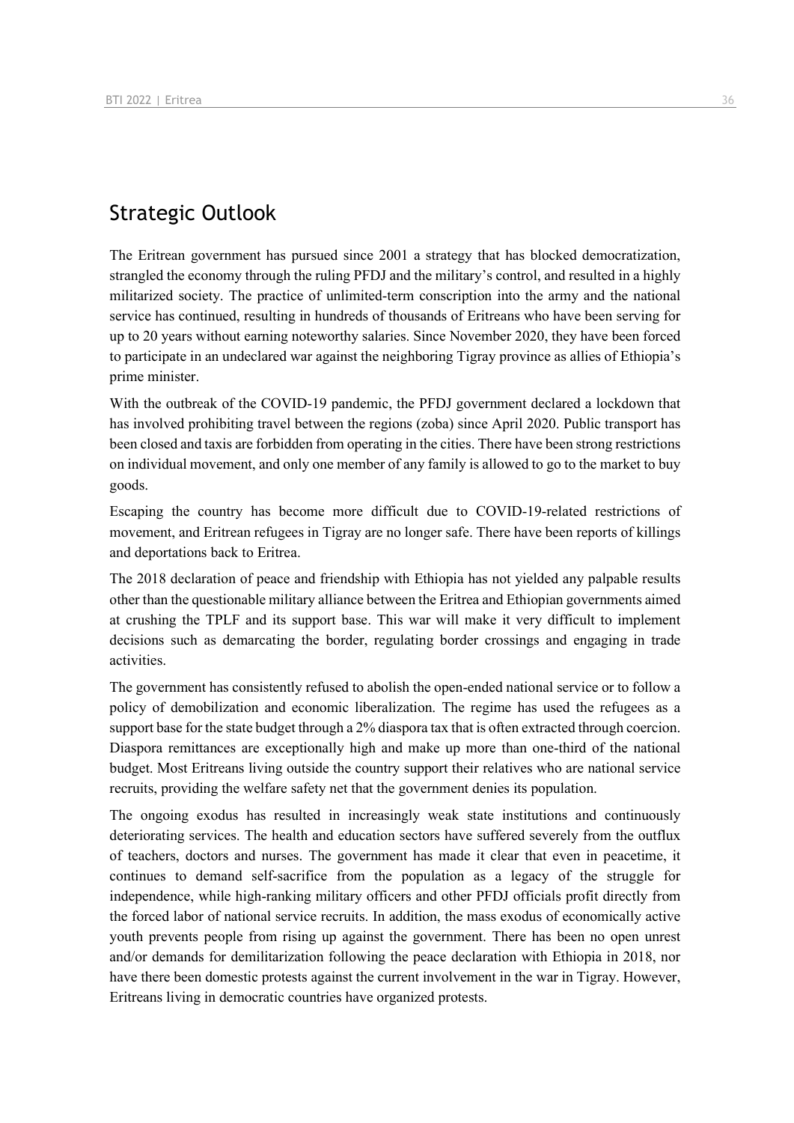### Strategic Outlook

The Eritrean government has pursued since 2001 a strategy that has blocked democratization, strangled the economy through the ruling PFDJ and the military's control, and resulted in a highly militarized society. The practice of unlimited-term conscription into the army and the national service has continued, resulting in hundreds of thousands of Eritreans who have been serving for up to 20 years without earning noteworthy salaries. Since November 2020, they have been forced to participate in an undeclared war against the neighboring Tigray province as allies of Ethiopia's prime minister.

With the outbreak of the COVID-19 pandemic, the PFDJ government declared a lockdown that has involved prohibiting travel between the regions (zoba) since April 2020. Public transport has been closed and taxis are forbidden from operating in the cities. There have been strong restrictions on individual movement, and only one member of any family is allowed to go to the market to buy goods.

Escaping the country has become more difficult due to COVID-19-related restrictions of movement, and Eritrean refugees in Tigray are no longer safe. There have been reports of killings and deportations back to Eritrea.

The 2018 declaration of peace and friendship with Ethiopia has not yielded any palpable results other than the questionable military alliance between the Eritrea and Ethiopian governments aimed at crushing the TPLF and its support base. This war will make it very difficult to implement decisions such as demarcating the border, regulating border crossings and engaging in trade activities.

The government has consistently refused to abolish the open-ended national service or to follow a policy of demobilization and economic liberalization. The regime has used the refugees as a support base for the state budget through a 2% diaspora tax that is often extracted through coercion. Diaspora remittances are exceptionally high and make up more than one-third of the national budget. Most Eritreans living outside the country support their relatives who are national service recruits, providing the welfare safety net that the government denies its population.

The ongoing exodus has resulted in increasingly weak state institutions and continuously deteriorating services. The health and education sectors have suffered severely from the outflux of teachers, doctors and nurses. The government has made it clear that even in peacetime, it continues to demand self-sacrifice from the population as a legacy of the struggle for independence, while high-ranking military officers and other PFDJ officials profit directly from the forced labor of national service recruits. In addition, the mass exodus of economically active youth prevents people from rising up against the government. There has been no open unrest and/or demands for demilitarization following the peace declaration with Ethiopia in 2018, nor have there been domestic protests against the current involvement in the war in Tigray. However, Eritreans living in democratic countries have organized protests.